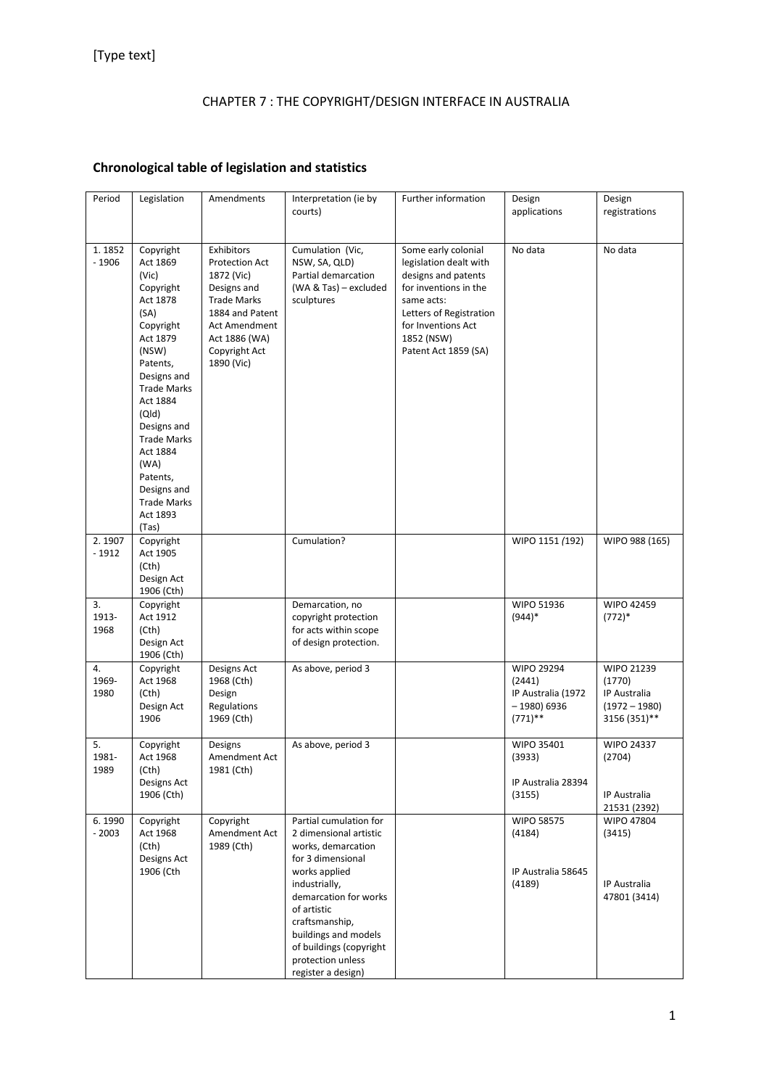# CHAPTER 7 : THE COPYRIGHT/DESIGN INTERFACE IN AUSTRALIA

# **Chronological table of legislation and statistics**

| Period              | Legislation                                                                                                                                                                                                                                                                                            | Amendments                                                                                                                                                          | Interpretation (ie by<br>courts)                                                                                                                                                                                                                                                      | Further information                                                                                                                                                                                | Design<br>applications                                                          | Design<br>registrations                                                 |
|---------------------|--------------------------------------------------------------------------------------------------------------------------------------------------------------------------------------------------------------------------------------------------------------------------------------------------------|---------------------------------------------------------------------------------------------------------------------------------------------------------------------|---------------------------------------------------------------------------------------------------------------------------------------------------------------------------------------------------------------------------------------------------------------------------------------|----------------------------------------------------------------------------------------------------------------------------------------------------------------------------------------------------|---------------------------------------------------------------------------------|-------------------------------------------------------------------------|
| 1.1852<br>$-1906$   | Copyright<br>Act 1869<br>(Vic)<br>Copyright<br>Act 1878<br>(SA)<br>Copyright<br>Act 1879<br>(NSW)<br>Patents,<br>Designs and<br><b>Trade Marks</b><br>Act 1884<br>(Q d)<br>Designs and<br><b>Trade Marks</b><br>Act 1884<br>(WA)<br>Patents,<br>Designs and<br><b>Trade Marks</b><br>Act 1893<br>(Tas) | Exhibitors<br>Protection Act<br>1872 (Vic)<br>Designs and<br><b>Trade Marks</b><br>1884 and Patent<br>Act Amendment<br>Act 1886 (WA)<br>Copyright Act<br>1890 (Vic) | Cumulation (Vic,<br>NSW, SA, QLD)<br>Partial demarcation<br>(WA & Tas) - excluded<br>sculptures                                                                                                                                                                                       | Some early colonial<br>legislation dealt with<br>designs and patents<br>for inventions in the<br>same acts:<br>Letters of Registration<br>for Inventions Act<br>1852 (NSW)<br>Patent Act 1859 (SA) | No data                                                                         | No data                                                                 |
| 2.1907<br>$-1912$   | Copyright<br>Act 1905<br>(Cth)<br>Design Act<br>1906 (Cth)                                                                                                                                                                                                                                             |                                                                                                                                                                     | Cumulation?                                                                                                                                                                                                                                                                           |                                                                                                                                                                                                    | WIPO 1151 (192)                                                                 | WIPO 988 (165)                                                          |
| 3.<br>1913-<br>1968 | Copyright<br>Act 1912<br>(Cth)<br>Design Act<br>1906 (Cth)                                                                                                                                                                                                                                             |                                                                                                                                                                     | Demarcation, no<br>copyright protection<br>for acts within scope<br>of design protection.                                                                                                                                                                                             |                                                                                                                                                                                                    | WIPO 51936<br>$(944)*$                                                          | <b>WIPO 42459</b><br>$(772)*$                                           |
| 4.<br>1969-<br>1980 | Copyright<br>Act 1968<br>(Cth)<br>Design Act<br>1906                                                                                                                                                                                                                                                   | Designs Act<br>1968 (Cth)<br>Design<br>Regulations<br>1969 (Cth)                                                                                                    | As above, period 3                                                                                                                                                                                                                                                                    |                                                                                                                                                                                                    | <b>WIPO 29294</b><br>(2441)<br>IP Australia (1972<br>- 1980) 6936<br>$(771)$ ** | WIPO 21239<br>(1770)<br>IP Australia<br>$(1972 - 1980)$<br>3156 (351)** |
| 5.<br>1981-<br>1989 | Copyright<br>Act 1968<br>(Cth)<br>Designs Act<br>1906 (Cth)                                                                                                                                                                                                                                            | Designs<br>Amendment Act<br>1981 (Cth)                                                                                                                              | As above, period 3                                                                                                                                                                                                                                                                    |                                                                                                                                                                                                    | WIPO 35401<br>(3933)<br>IP Australia 28394<br>(3155)                            | <b>WIPO 24337</b><br>(2704)<br>IP Australia<br>21531 (2392)             |
| 6.1990<br>$-2003$   | Copyright<br>Act 1968<br>(Cth)<br>Designs Act<br>1906 (Cth                                                                                                                                                                                                                                             | Copyright<br>Amendment Act<br>1989 (Cth)                                                                                                                            | Partial cumulation for<br>2 dimensional artistic<br>works, demarcation<br>for 3 dimensional<br>works applied<br>industrially,<br>demarcation for works<br>of artistic<br>craftsmanship,<br>buildings and models<br>of buildings (copyright<br>protection unless<br>register a design) |                                                                                                                                                                                                    | <b>WIPO 58575</b><br>(4184)<br>IP Australia 58645<br>(4189)                     | WIPO 47804<br>(3415)<br>IP Australia<br>47801 (3414)                    |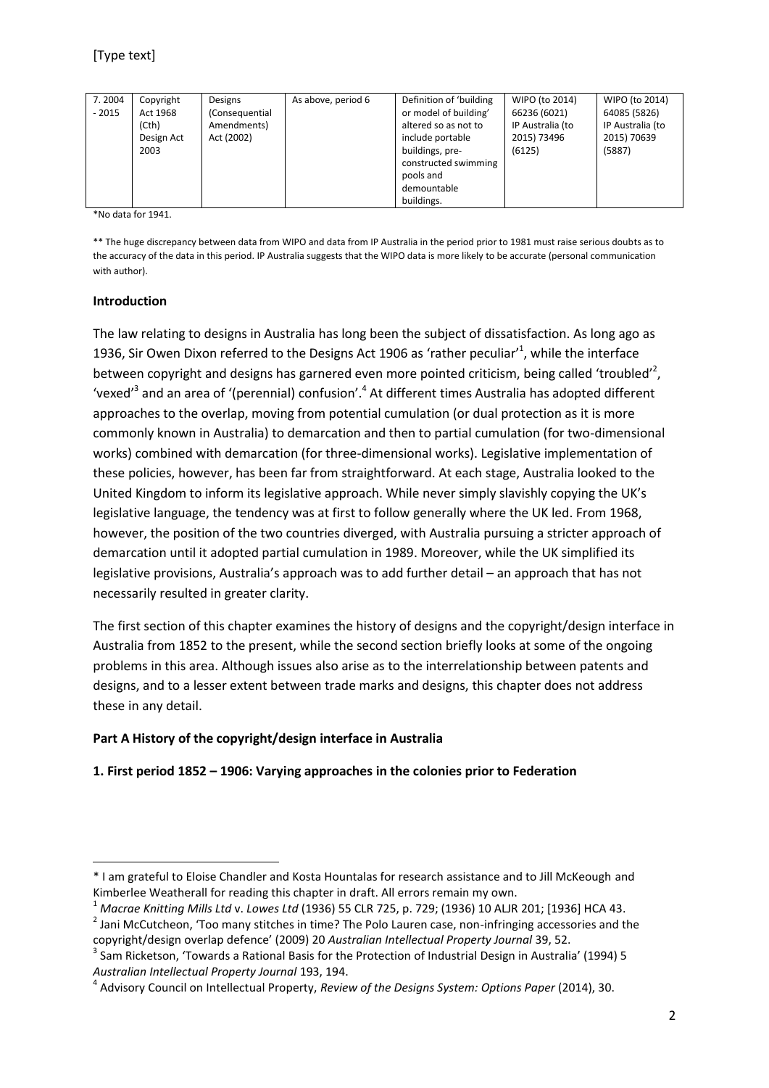| 7.2004  | Copyright  | Designs        | As above, period 6 | Definition of 'building | WIPO (to 2014)   | WIPO (to 2014)   |
|---------|------------|----------------|--------------------|-------------------------|------------------|------------------|
| $-2015$ | Act 1968   | (Consequential |                    | or model of building'   | 66236 (6021)     | 64085 (5826)     |
|         | (Cth)      | Amendments)    |                    | altered so as not to    | IP Australia (to | IP Australia (to |
|         | Design Act | Act (2002)     |                    | include portable        | 2015) 73496      | 2015) 70639      |
|         | 2003       |                |                    | buildings, pre-         | (6125)           | (5887)           |
|         |            |                |                    | constructed swimming    |                  |                  |
|         |            |                |                    | pools and               |                  |                  |
|         |            |                |                    | demountable             |                  |                  |
|         |            |                |                    | buildings.              |                  |                  |

\*No data for 1941.

\*\* The huge discrepancy between data from WIPO and data from IP Australia in the period prior to 1981 must raise serious doubts as to the accuracy of the data in this period. IP Australia suggests that the WIPO data is more likely to be accurate (personal communication with author).

#### **Introduction**

1

The law relating to designs in Australia has long been the subject of dissatisfaction. As long ago as 1936, Sir Owen Dixon referred to the Designs Act 1906 as 'rather peculiar'<sup>1</sup>, while the interface between copyright and designs has garnered even more pointed criticism, being called 'troubled'<sup>2</sup>, 'vexed'<sup>3</sup> and an area of '(perennial) confusion'.<sup>4</sup> At different times Australia has adopted different approaches to the overlap, moving from potential cumulation (or dual protection as it is more commonly known in Australia) to demarcation and then to partial cumulation (for two-dimensional works) combined with demarcation (for three-dimensional works). Legislative implementation of these policies, however, has been far from straightforward. At each stage, Australia looked to the United Kingdom to inform its legislative approach. While never simply slavishly copying the UK's legislative language, the tendency was at first to follow generally where the UK led. From 1968, however, the position of the two countries diverged, with Australia pursuing a stricter approach of demarcation until it adopted partial cumulation in 1989. Moreover, while the UK simplified its legislative provisions, Australia's approach was to add further detail – an approach that has not necessarily resulted in greater clarity.

The first section of this chapter examines the history of designs and the copyright/design interface in Australia from 1852 to the present, while the second section briefly looks at some of the ongoing problems in this area. Although issues also arise as to the interrelationship between patents and designs, and to a lesser extent between trade marks and designs, this chapter does not address these in any detail.

#### **Part A History of the copyright/design interface in Australia**

**1. First period 1852 – 1906: Varying approaches in the colonies prior to Federation**

<sup>\*</sup> I am grateful to Eloise Chandler and Kosta Hountalas for research assistance and to Jill McKeough and Kimberlee Weatherall for reading this chapter in draft. All errors remain my own.

<sup>1</sup> *Macrae Knitting Mills Ltd* v. *Lowes Ltd* (1936) 55 CLR 725, p. 729; (1936) 10 ALJR 201; [1936] HCA 43.  $^{2}$  Jani McCutcheon, 'Too many stitches in time? The Polo Lauren case, non-infringing accessories and the copyright/design overlap defence' (2009) 20 *Australian Intellectual Property Journal* 39, 52.

 $^3$  Sam Ricketson, 'Towards a Rational Basis for the Protection of Industrial Design in Australia' (1994) 5 *Australian Intellectual Property Journal* 193, 194.

<sup>4</sup> Advisory Council on Intellectual Property, *Review of the Designs System: Options Paper* (2014), 30.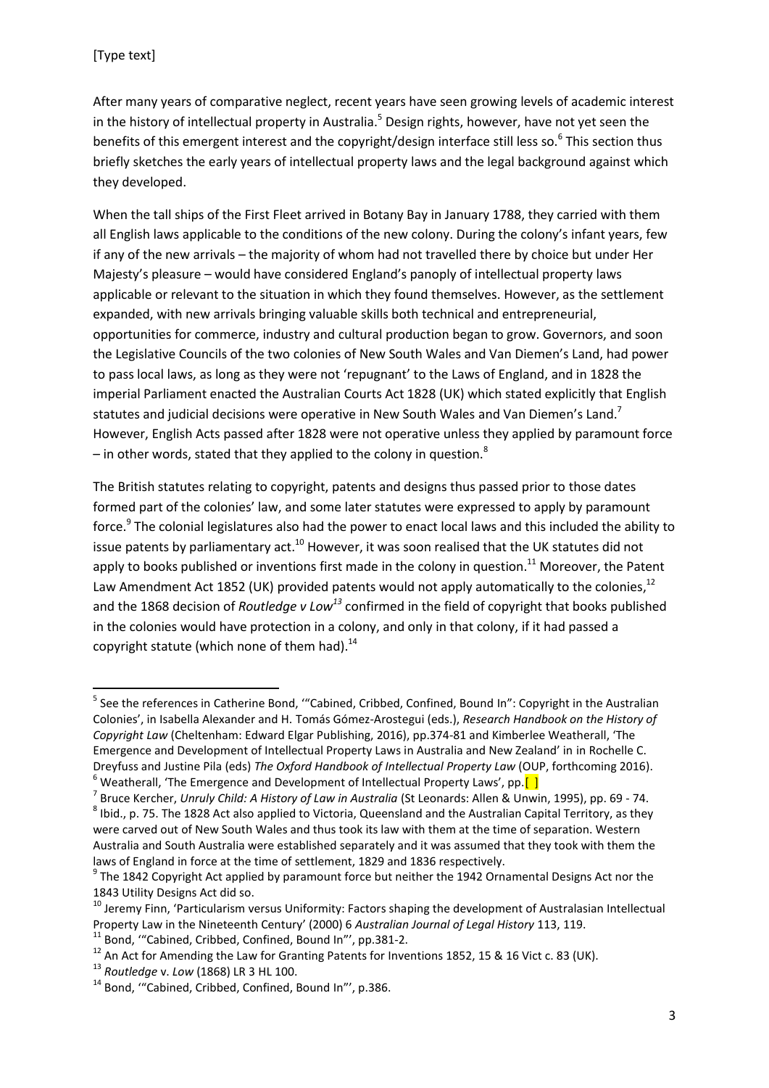After many years of comparative neglect, recent years have seen growing levels of academic interest in the history of intellectual property in Australia.<sup>5</sup> Design rights, however, have not yet seen the benefits of this emergent interest and the copyright/design interface still less so.<sup>6</sup> This section thus briefly sketches the early years of intellectual property laws and the legal background against which they developed.

When the tall ships of the First Fleet arrived in Botany Bay in January 1788, they carried with them all English laws applicable to the conditions of the new colony. During the colony's infant years, few if any of the new arrivals – the majority of whom had not travelled there by choice but under Her Majesty's pleasure – would have considered England's panoply of intellectual property laws applicable or relevant to the situation in which they found themselves. However, as the settlement expanded, with new arrivals bringing valuable skills both technical and entrepreneurial, opportunities for commerce, industry and cultural production began to grow. Governors, and soon the Legislative Councils of the two colonies of New South Wales and Van Diemen's Land, had power to pass local laws, as long as they were not 'repugnant' to the Laws of England, and in 1828 the imperial Parliament enacted the Australian Courts Act 1828 (UK) which stated explicitly that English statutes and judicial decisions were operative in New South Wales and Van Diemen's Land.<sup>7</sup> However, English Acts passed after 1828 were not operative unless they applied by paramount force – in other words, stated that they applied to the colony in question. $8$ 

The British statutes relating to copyright, patents and designs thus passed prior to those dates formed part of the colonies' law, and some later statutes were expressed to apply by paramount force.<sup>9</sup> The colonial legislatures also had the power to enact local laws and this included the ability to issue patents by parliamentary act.<sup>10</sup> However, it was soon realised that the UK statutes did not apply to books published or inventions first made in the colony in question.<sup>11</sup> Moreover, the Patent Law Amendment Act 1852 (UK) provided patents would not apply automatically to the colonies,<sup>12</sup> and the 1868 decision of *Routledge v Low<sup>13</sup>* confirmed in the field of copyright that books published in the colonies would have protection in a colony, and only in that colony, if it had passed a copyright statute (which none of them had). $^{14}$ 

**<sup>.</sup>** <sup>5</sup> See the references in Catherine Bond, "'Cabined, Cribbed, Confined, Bound In": Copyright in the Australian Colonies', in Isabella Alexander and H. Tomás Gómez-Arostegui (eds.), *Research Handbook on the History of Copyright Law* (Cheltenham: Edward Elgar Publishing, 2016), pp.374-81 and Kimberlee Weatherall, 'The Emergence and Development of Intellectual Property Laws in Australia and New Zealand' in in Rochelle C. Dreyfuss and Justine Pila (eds) *The Oxford Handbook of Intellectual Property Law* (OUP, forthcoming 2016).  $6$  Weatherall, 'The Emergence and Development of Intellectual Property Laws', pp.  $\boxed{)}$ 

<sup>7</sup> Bruce Kercher, *Unruly Child: A History of Law in Australia* (St Leonards: Allen & Unwin, 1995), pp. 69 - 74.

 $^8$  Ibid., p. 75. The 1828 Act also applied to Victoria, Queensland and the Australian Capital Territory, as they were carved out of New South Wales and thus took its law with them at the time of separation. Western Australia and South Australia were established separately and it was assumed that they took with them the laws of England in force at the time of settlement, 1829 and 1836 respectively.

 $^9$  The 1842 Copyright Act applied by paramount force but neither the 1942 Ornamental Designs Act nor the 1843 Utility Designs Act did so.

<sup>&</sup>lt;sup>10</sup> Jeremy Finn, 'Particularism versus Uniformity: Factors shaping the development of Australasian Intellectual Property Law in the Nineteenth Century' (2000) 6 *Australian Journal of Legal History* 113, 119.

<sup>&</sup>lt;sup>11</sup> Bond, "Cabined, Cribbed, Confined, Bound In"', pp.381-2.

<sup>&</sup>lt;sup>12</sup> An Act for Amending the Law for Granting Patents for Inventions 1852, 15 & 16 Vict c. 83 (UK).

<sup>13</sup> *Routledge* v. *Low* (1868) LR 3 HL 100.

<sup>14</sup> Bond, '"Cabined, Cribbed, Confined, Bound In"', p.386.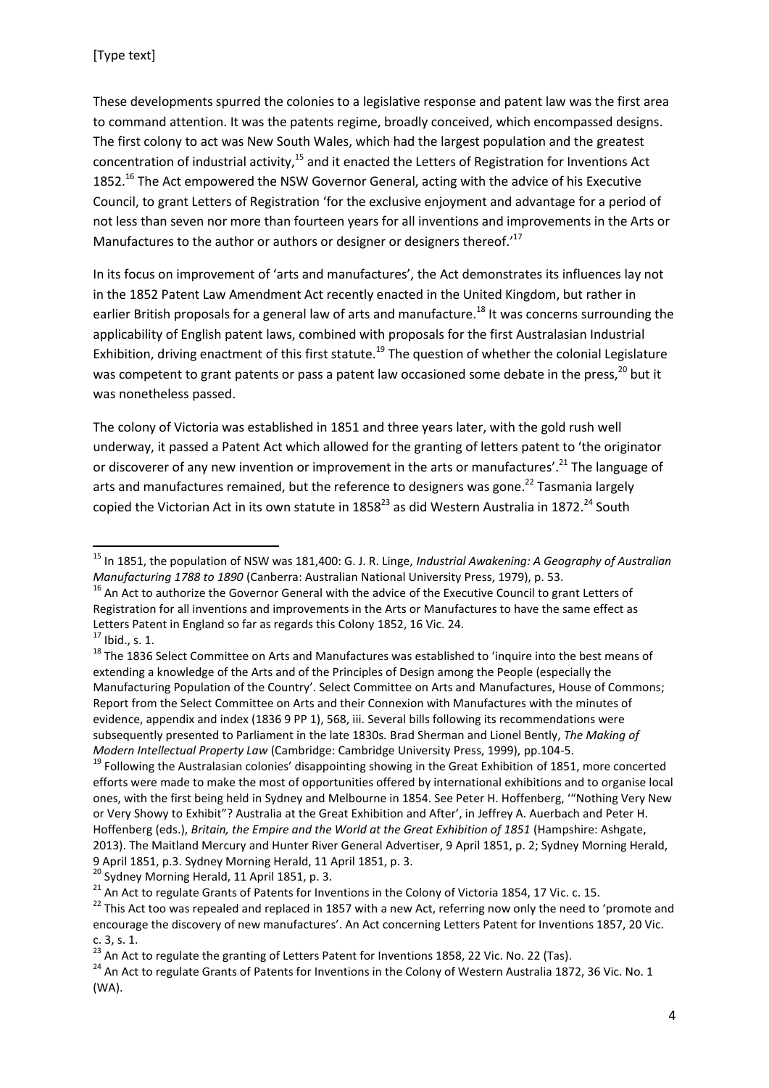These developments spurred the colonies to a legislative response and patent law was the first area to command attention. It was the patents regime, broadly conceived, which encompassed designs. The first colony to act was New South Wales, which had the largest population and the greatest concentration of industrial activity,<sup>15</sup> and it enacted the Letters of Registration for Inventions Act 1852.<sup>16</sup> The Act empowered the NSW Governor General, acting with the advice of his Executive Council, to grant Letters of Registration 'for the exclusive enjoyment and advantage for a period of not less than seven nor more than fourteen years for all inventions and improvements in the Arts or Manufactures to the author or authors or designer or designers thereof.<sup>17</sup>

In its focus on improvement of 'arts and manufactures', the Act demonstrates its influences lay not in the 1852 Patent Law Amendment Act recently enacted in the United Kingdom, but rather in earlier British proposals for a general law of arts and manufacture.<sup>18</sup> It was concerns surrounding the applicability of English patent laws, combined with proposals for the first Australasian Industrial Exhibition, driving enactment of this first statute.<sup>19</sup> The question of whether the colonial Legislature was competent to grant patents or pass a patent law occasioned some debate in the press.<sup>20</sup> but it was nonetheless passed.

The colony of Victoria was established in 1851 and three years later, with the gold rush well underway, it passed a Patent Act which allowed for the granting of letters patent to 'the originator or discoverer of any new invention or improvement in the arts or manufactures'.<sup>21</sup> The language of arts and manufactures remained, but the reference to designers was gone.<sup>22</sup> Tasmania largely copied the Victorian Act in its own statute in  $1858^{23}$  as did Western Australia in  $1872.^{24}$  South

**.** 

 $20$  Sydney Morning Herald, 11 April 1851, p. 3.

<sup>15</sup> In 1851, the population of NSW was 181,400: G. J. R. Linge, *Industrial Awakening: A Geography of Australian Manufacturing 1788 to 1890* (Canberra: Australian National University Press, 1979), p. 53.

<sup>&</sup>lt;sup>16</sup> An Act to authorize the Governor General with the advice of the Executive Council to grant Letters of Registration for all inventions and improvements in the Arts or Manufactures to have the same effect as Letters Patent in England so far as regards this Colony 1852, 16 Vic. 24.

 $17$  Ibid., s. 1.

<sup>&</sup>lt;sup>18</sup> The 1836 Select Committee on Arts and Manufactures was established to 'inquire into the best means of extending a knowledge of the Arts and of the Principles of Design among the People (especially the Manufacturing Population of the Country'. Select Committee on Arts and Manufactures, House of Commons; Report from the Select Committee on Arts and their Connexion with Manufactures with the minutes of evidence, appendix and index (1836 9 PP 1), 568, iii. Several bills following its recommendations were subsequently presented to Parliament in the late 1830s. Brad Sherman and Lionel Bently, *The Making of Modern Intellectual Property Law* (Cambridge: Cambridge University Press, 1999), pp.104-5.

<sup>&</sup>lt;sup>19</sup> Following the Australasian colonies' disappointing showing in the Great Exhibition of 1851, more concerted efforts were made to make the most of opportunities offered by international exhibitions and to organise local ones, with the first being held in Sydney and Melbourne in 1854. See Peter H. Hoffenberg, '"Nothing Very New or Very Showy to Exhibit"? Australia at the Great Exhibition and After', in Jeffrey A. Auerbach and Peter H. Hoffenberg (eds.), *Britain, the Empire and the World at the Great Exhibition of 1851* (Hampshire: Ashgate, 2013). The Maitland Mercury and Hunter River General Advertiser, 9 April 1851, p. 2; Sydney Morning Herald, 9 April 1851, p.3. Sydney Morning Herald, 11 April 1851, p. 3.

<sup>&</sup>lt;sup>21</sup> An Act to regulate Grants of Patents for Inventions in the Colony of Victoria 1854, 17 Vic. c. 15.

<sup>&</sup>lt;sup>22</sup> This Act too was repealed and replaced in 1857 with a new Act, referring now only the need to 'promote and encourage the discovery of new manufactures'. An Act concerning Letters Patent for Inventions 1857, 20 Vic. c. 3, s. 1.

 $^{23}$  An Act to regulate the granting of Letters Patent for Inventions 1858, 22 Vic. No. 22 (Tas).

<sup>&</sup>lt;sup>24</sup> An Act to regulate Grants of Patents for Inventions in the Colony of Western Australia 1872, 36 Vic. No. 1 (WA).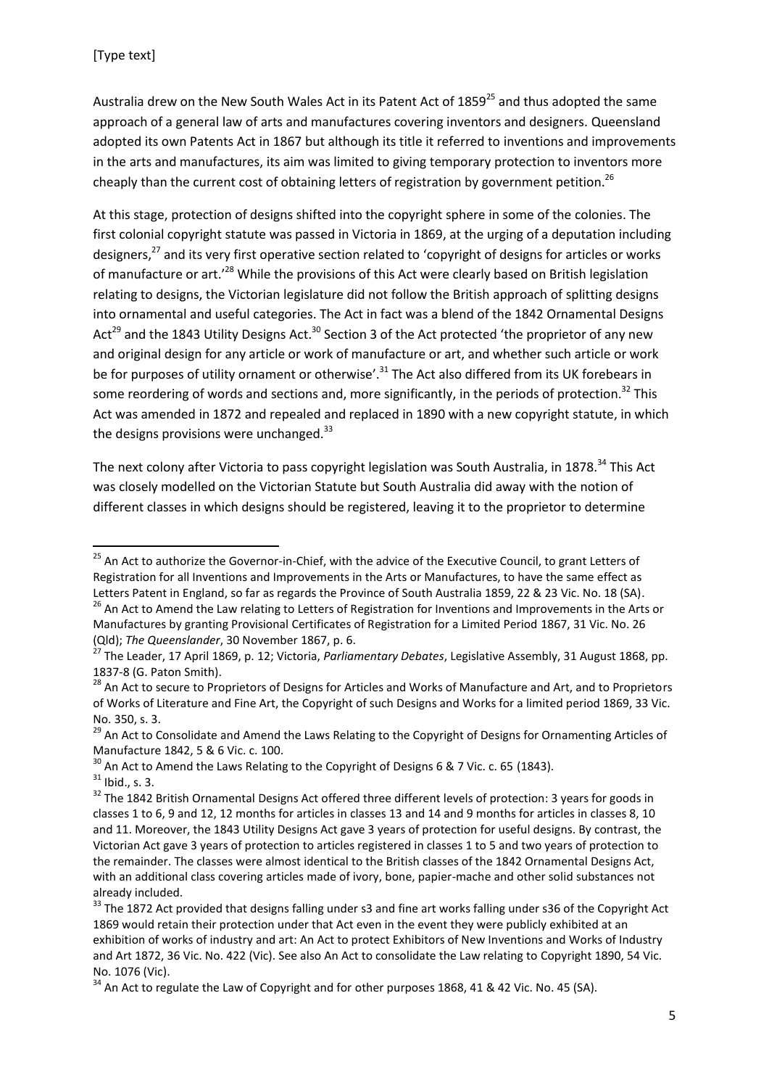Australia drew on the New South Wales Act in its Patent Act of 1859<sup>25</sup> and thus adopted the same approach of a general law of arts and manufactures covering inventors and designers. Queensland adopted its own Patents Act in 1867 but although its title it referred to inventions and improvements in the arts and manufactures, its aim was limited to giving temporary protection to inventors more cheaply than the current cost of obtaining letters of registration by government petition.<sup>26</sup>

At this stage, protection of designs shifted into the copyright sphere in some of the colonies. The first colonial copyright statute was passed in Victoria in 1869, at the urging of a deputation including designers,<sup>27</sup> and its very first operative section related to 'copyright of designs for articles or works of manufacture or art.<sup>28</sup> While the provisions of this Act were clearly based on British legislation relating to designs, the Victorian legislature did not follow the British approach of splitting designs into ornamental and useful categories. The Act in fact was a blend of the 1842 Ornamental Designs Act<sup>29</sup> and the 1843 Utility Designs Act.<sup>30</sup> Section 3 of the Act protected 'the proprietor of any new and original design for any article or work of manufacture or art, and whether such article or work be for purposes of utility ornament or otherwise'.<sup>31</sup> The Act also differed from its UK forebears in some reordering of words and sections and, more significantly, in the periods of protection.<sup>32</sup> This Act was amended in 1872 and repealed and replaced in 1890 with a new copyright statute, in which the designs provisions were unchanged. $33$ 

The next colony after Victoria to pass copyright legislation was South Australia, in 1878.<sup>34</sup> This Act was closely modelled on the Victorian Statute but South Australia did away with the notion of different classes in which designs should be registered, leaving it to the proprietor to determine

 $30$  An Act to Amend the Laws Relating to the Copyright of Designs 6 & 7 Vic. c. 65 (1843).

**<sup>.</sup>** <sup>25</sup> An Act to authorize the Governor-in-Chief, with the advice of the Executive Council, to grant Letters of Registration for all Inventions and Improvements in the Arts or Manufactures, to have the same effect as Letters Patent in England, so far as regards the Province of South Australia 1859, 22 & 23 Vic. No. 18 (SA).

<sup>&</sup>lt;sup>26</sup> An Act to Amend the Law relating to Letters of Registration for Inventions and Improvements in the Arts or Manufactures by granting Provisional Certificates of Registration for a Limited Period 1867, 31 Vic. No. 26 (Qld); *The Queenslander*, 30 November 1867, p. 6.

<sup>27</sup> The Leader, 17 April 1869, p. 12; Victoria, *Parliamentary Debates*, Legislative Assembly, 31 August 1868, pp. 1837-8 (G. Paton Smith).

<sup>&</sup>lt;sup>28</sup> An Act to secure to Proprietors of Designs for Articles and Works of Manufacture and Art, and to Proprietors of Works of Literature and Fine Art, the Copyright of such Designs and Works for a limited period 1869, 33 Vic. No. 350, s. 3.

<sup>&</sup>lt;sup>29</sup> An Act to Consolidate and Amend the Laws Relating to the Copyright of Designs for Ornamenting Articles of Manufacture 1842, 5 & 6 Vic. c. 100.

 $31$  Ibid., s. 3.

<sup>&</sup>lt;sup>32</sup> The 1842 British Ornamental Designs Act offered three different levels of protection: 3 years for goods in classes 1 to 6, 9 and 12, 12 months for articles in classes 13 and 14 and 9 months for articles in classes 8, 10 and 11. Moreover, the 1843 Utility Designs Act gave 3 years of protection for useful designs. By contrast, the Victorian Act gave 3 years of protection to articles registered in classes 1 to 5 and two years of protection to the remainder. The classes were almost identical to the British classes of the 1842 Ornamental Designs Act, with an additional class covering articles made of ivory, bone, papier-mache and other solid substances not already included.

 $33$  The 1872 Act provided that designs falling under s3 and fine art works falling under s36 of the Copyright Act 1869 would retain their protection under that Act even in the event they were publicly exhibited at an exhibition of works of industry and art: An Act to protect Exhibitors of New Inventions and Works of Industry and Art 1872, 36 Vic. No. 422 (Vic). See also An Act to consolidate the Law relating to Copyright 1890, 54 Vic. No. 1076 (Vic).

<sup>&</sup>lt;sup>34</sup> An Act to regulate the Law of Copyright and for other purposes 1868, 41 & 42 Vic. No. 45 (SA).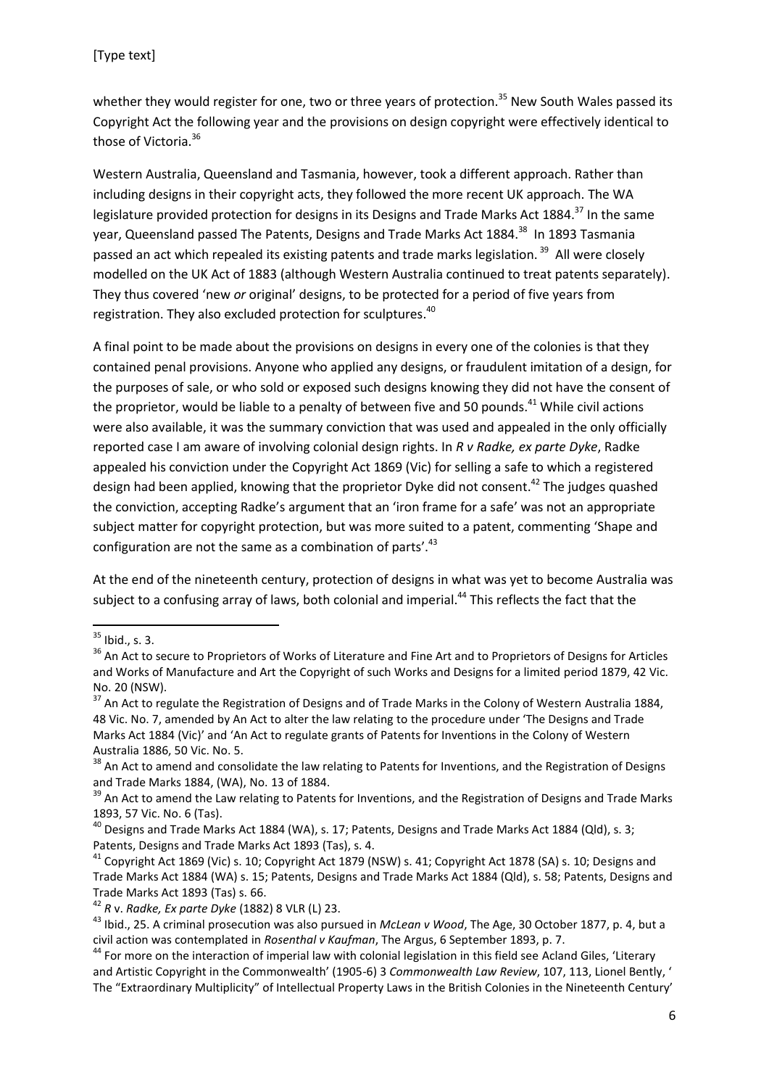whether they would register for one, two or three years of protection.<sup>35</sup> New South Wales passed its Copyright Act the following year and the provisions on design copyright were effectively identical to those of Victoria.<sup>36</sup>

Western Australia, Queensland and Tasmania, however, took a different approach. Rather than including designs in their copyright acts, they followed the more recent UK approach. The WA legislature provided protection for designs in its Designs and Trade Marks Act 1884.<sup>37</sup> In the same year, Queensland passed The Patents, Designs and Trade Marks Act 1884.<sup>38</sup> In 1893 Tasmania passed an act which repealed its existing patents and trade marks legislation.<sup>39</sup> All were closely modelled on the UK Act of 1883 (although Western Australia continued to treat patents separately). They thus covered 'new *or* original' designs, to be protected for a period of five years from registration. They also excluded protection for sculptures.<sup>40</sup>

A final point to be made about the provisions on designs in every one of the colonies is that they contained penal provisions. Anyone who applied any designs, or fraudulent imitation of a design, for the purposes of sale, or who sold or exposed such designs knowing they did not have the consent of the proprietor, would be liable to a penalty of between five and 50 pounds.<sup>41</sup> While civil actions were also available, it was the summary conviction that was used and appealed in the only officially reported case I am aware of involving colonial design rights. In *R v Radke, ex parte Dyke*, Radke appealed his conviction under the Copyright Act 1869 (Vic) for selling a safe to which a registered design had been applied, knowing that the proprietor Dyke did not consent.<sup>42</sup> The judges quashed the conviction, accepting Radke's argument that an 'iron frame for a safe' was not an appropriate subject matter for copyright protection, but was more suited to a patent, commenting 'Shape and configuration are not the same as a combination of parts'.<sup>43</sup>

At the end of the nineteenth century, protection of designs in what was yet to become Australia was subject to a confusing array of laws, both colonial and imperial.<sup>44</sup> This reflects the fact that the

 $35$  Ibid., s. 3.

<sup>&</sup>lt;sup>36</sup> An Act to secure to Proprietors of Works of Literature and Fine Art and to Proprietors of Designs for Articles and Works of Manufacture and Art the Copyright of such Works and Designs for a limited period 1879, 42 Vic. No. 20 (NSW).

 $37$  An Act to regulate the Registration of Designs and of Trade Marks in the Colony of Western Australia 1884. 48 Vic. No. 7, amended by An Act to alter the law relating to the procedure under 'The Designs and Trade Marks Act 1884 (Vic)' and 'An Act to regulate grants of Patents for Inventions in the Colony of Western Australia 1886, 50 Vic. No. 5.

<sup>&</sup>lt;sup>38</sup> An Act to amend and consolidate the law relating to Patents for Inventions, and the Registration of Designs and Trade Marks 1884, (WA), No. 13 of 1884.

<sup>&</sup>lt;sup>39</sup> An Act to amend the Law relating to Patents for Inventions, and the Registration of Designs and Trade Marks 1893, 57 Vic. No. 6 (Tas).

 $^{40}$  Designs and Trade Marks Act 1884 (WA), s. 17; Patents, Designs and Trade Marks Act 1884 (Qld), s. 3; Patents, Designs and Trade Marks Act 1893 (Tas), s. 4.

<sup>&</sup>lt;sup>41</sup> Copyright Act 1869 (Vic) s. 10; Copyright Act 1879 (NSW) s. 41; Copyright Act 1878 (SA) s. 10; Designs and Trade Marks Act 1884 (WA) s. 15; Patents, Designs and Trade Marks Act 1884 (Qld), s. 58; Patents, Designs and Trade Marks Act 1893 (Tas) s. 66.

<sup>42</sup> *R* v. *Radke, Ex parte Dyke* (1882) 8 VLR (L) 23.

<sup>43</sup> Ibid., 25. A criminal prosecution was also pursued in *McLean v Wood*, The Age, 30 October 1877, p. 4, but a civil action was contemplated in *Rosenthal v Kaufman*, The Argus, 6 September 1893, p. 7.

<sup>&</sup>lt;sup>44</sup> For more on the interaction of imperial law with colonial legislation in this field see Acland Giles, 'Literary and Artistic Copyright in the Commonwealth' (1905-6) 3 *Commonwealth Law Review*, 107, 113, Lionel Bently, ' The "Extraordinary Multiplicity" of Intellectual Property Laws in the British Colonies in the Nineteenth Century'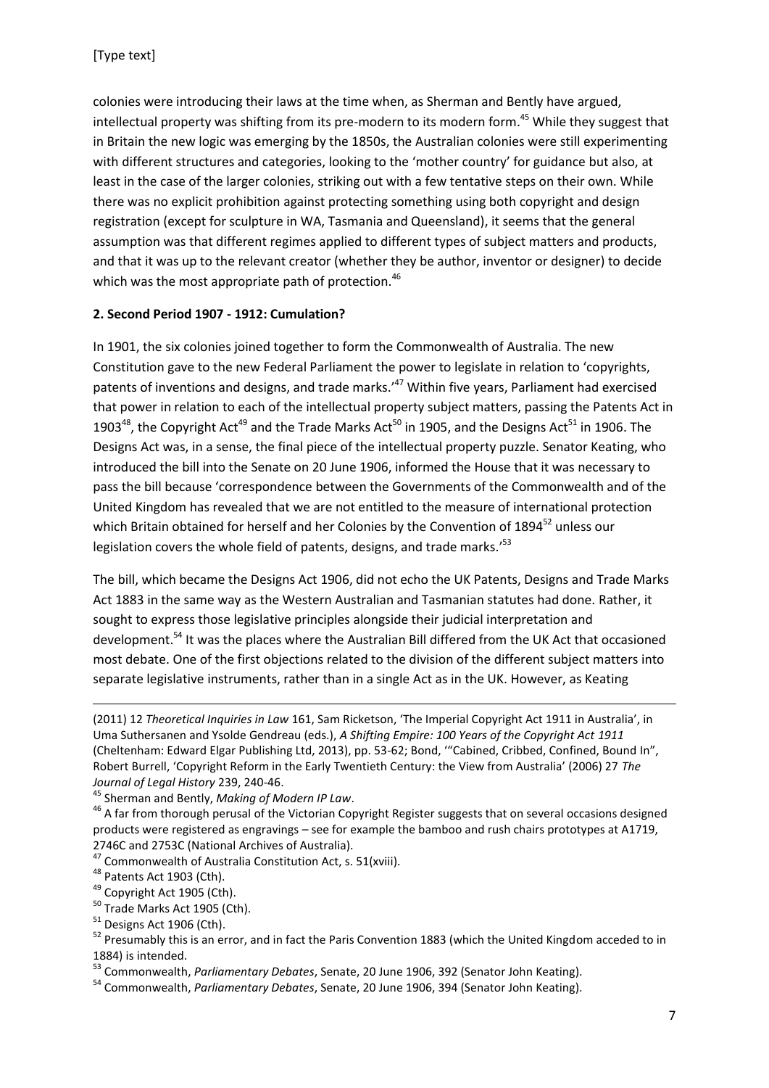colonies were introducing their laws at the time when, as Sherman and Bently have argued, intellectual property was shifting from its pre-modern to its modern form.<sup>45</sup> While they suggest that in Britain the new logic was emerging by the 1850s, the Australian colonies were still experimenting with different structures and categories, looking to the 'mother country' for guidance but also, at least in the case of the larger colonies, striking out with a few tentative steps on their own. While there was no explicit prohibition against protecting something using both copyright and design registration (except for sculpture in WA, Tasmania and Queensland), it seems that the general assumption was that different regimes applied to different types of subject matters and products, and that it was up to the relevant creator (whether they be author, inventor or designer) to decide which was the most appropriate path of protection.<sup>46</sup>

# **2. Second Period 1907 - 1912: Cumulation?**

In 1901, the six colonies joined together to form the Commonwealth of Australia. The new Constitution gave to the new Federal Parliament the power to legislate in relation to 'copyrights, patents of inventions and designs, and trade marks.<sup>47</sup> Within five years, Parliament had exercised that power in relation to each of the intellectual property subject matters, passing the Patents Act in 1903<sup>48</sup>, the Copyright Act<sup>49</sup> and the Trade Marks Act<sup>50</sup> in 1905, and the Designs Act<sup>51</sup> in 1906. The Designs Act was, in a sense, the final piece of the intellectual property puzzle. Senator Keating, who introduced the bill into the Senate on 20 June 1906, informed the House that it was necessary to pass the bill because 'correspondence between the Governments of the Commonwealth and of the United Kingdom has revealed that we are not entitled to the measure of international protection which Britain obtained for herself and her Colonies by the Convention of 1894<sup>52</sup> unless our legislation covers the whole field of patents, designs, and trade marks.'<sup>53</sup>

The bill, which became the Designs Act 1906, did not echo the UK Patents, Designs and Trade Marks Act 1883 in the same way as the Western Australian and Tasmanian statutes had done. Rather, it sought to express those legislative principles alongside their judicial interpretation and development.<sup>54</sup> It was the places where the Australian Bill differed from the UK Act that occasioned most debate. One of the first objections related to the division of the different subject matters into separate legislative instruments, rather than in a single Act as in the UK. However, as Keating

1

<sup>50</sup> Trade Marks Act 1905 (Cth).

<sup>(2011) 12</sup> *Theoretical Inquiries in Law* 161, Sam Ricketson, 'The Imperial Copyright Act 1911 in Australia', in Uma Suthersanen and Ysolde Gendreau (eds.), *A Shifting Empire: 100 Years of the Copyright Act 1911* (Cheltenham: Edward Elgar Publishing Ltd, 2013), pp. 53-62; Bond, '"Cabined, Cribbed, Confined, Bound In", Robert Burrell, 'Copyright Reform in the Early Twentieth Century: the View from Australia' (2006) 27 *The Journal of Legal History* 239, 240-46.

<sup>45</sup> Sherman and Bently, *Making of Modern IP Law*.

<sup>&</sup>lt;sup>46</sup> A far from thorough perusal of the Victorian Copyright Register suggests that on several occasions designed products were registered as engravings – see for example the bamboo and rush chairs prototypes at A1719, 2746C and 2753C (National Archives of Australia).

<sup>47</sup> Commonwealth of Australia Constitution Act, s. 51(xviii).

<sup>&</sup>lt;sup>48</sup> Patents Act 1903 (Cth).

<sup>&</sup>lt;sup>49</sup> Copyright Act 1905 (Cth).

 $51$  Designs Act 1906 (Cth).

<sup>&</sup>lt;sup>52</sup> Presumably this is an error, and in fact the Paris Convention 1883 (which the United Kingdom acceded to in 1884) is intended.

<sup>53</sup> Commonwealth, *Parliamentary Debates*, Senate, 20 June 1906, 392 (Senator John Keating).

<sup>54</sup> Commonwealth, *Parliamentary Debates*, Senate, 20 June 1906, 394 (Senator John Keating).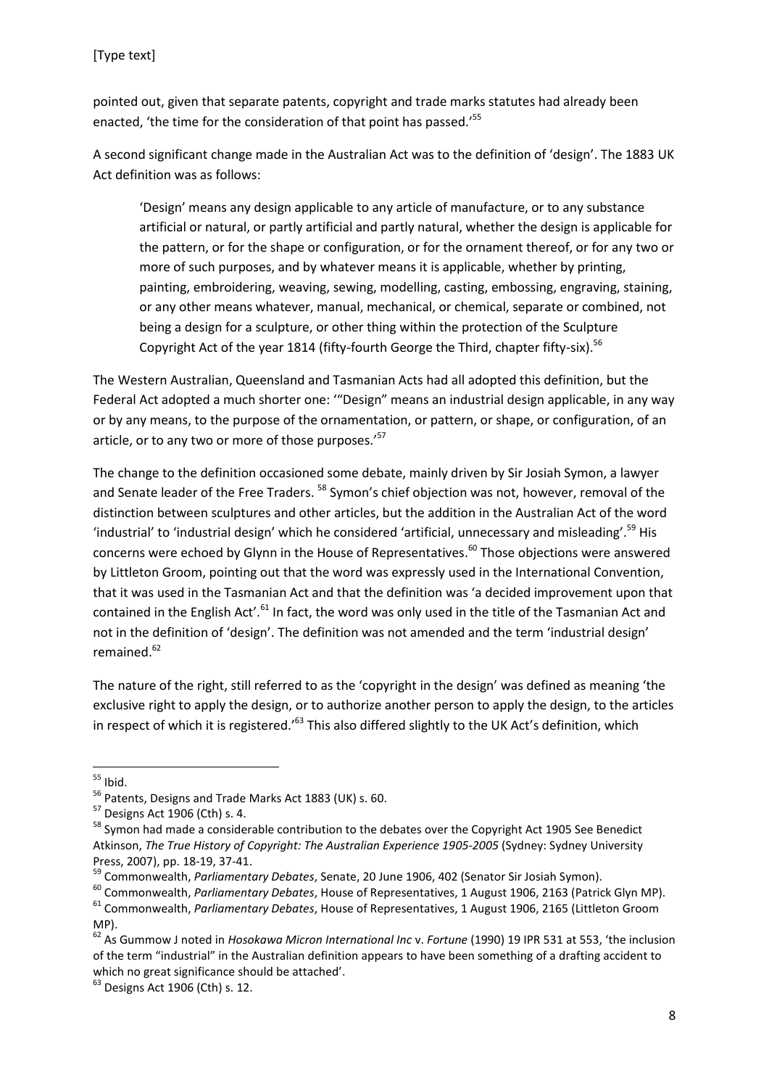pointed out, given that separate patents, copyright and trade marks statutes had already been enacted, 'the time for the consideration of that point has passed.'<sup>55</sup>

A second significant change made in the Australian Act was to the definition of 'design'. The 1883 UK Act definition was as follows:

'Design' means any design applicable to any article of manufacture, or to any substance artificial or natural, or partly artificial and partly natural, whether the design is applicable for the pattern, or for the shape or configuration, or for the ornament thereof, or for any two or more of such purposes, and by whatever means it is applicable, whether by printing, painting, embroidering, weaving, sewing, modelling, casting, embossing, engraving, staining, or any other means whatever, manual, mechanical, or chemical, separate or combined, not being a design for a sculpture, or other thing within the protection of the Sculpture Copyright Act of the year 1814 (fifty-fourth George the Third, chapter fifty-six).<sup>56</sup>

The Western Australian, Queensland and Tasmanian Acts had all adopted this definition, but the Federal Act adopted a much shorter one: '"Design" means an industrial design applicable, in any way or by any means, to the purpose of the ornamentation, or pattern, or shape, or configuration, of an article, or to any two or more of those purposes.'<sup>57</sup>

The change to the definition occasioned some debate, mainly driven by Sir Josiah Symon, a lawyer and Senate leader of the Free Traders. <sup>58</sup> Symon's chief objection was not, however, removal of the distinction between sculptures and other articles, but the addition in the Australian Act of the word 'industrial' to 'industrial design' which he considered 'artificial, unnecessary and misleading'.<sup>59</sup> His concerns were echoed by Glynn in the House of Representatives. <sup>60</sup> Those objections were answered by Littleton Groom, pointing out that the word was expressly used in the International Convention, that it was used in the Tasmanian Act and that the definition was 'a decided improvement upon that contained in the English Act'.<sup>61</sup> In fact, the word was only used in the title of the Tasmanian Act and not in the definition of 'design'. The definition was not amended and the term 'industrial design' remained.<sup>62</sup>

The nature of the right, still referred to as the 'copyright in the design' was defined as meaning 'the exclusive right to apply the design, or to authorize another person to apply the design, to the articles in respect of which it is registered.<sup>63</sup> This also differed slightly to the UK Act's definition, which

 $\overline{a}$ 

 $55$  Ibid.

<sup>&</sup>lt;sup>56</sup> Patents, Designs and Trade Marks Act 1883 (UK) s. 60.

<sup>57</sup> Designs Act 1906 (Cth) s. 4.

<sup>&</sup>lt;sup>58</sup> Symon had made a considerable contribution to the debates over the Copyright Act 1905 See Benedict Atkinson, *The True History of Copyright: The Australian Experience 1905-2005* (Sydney: Sydney University Press, 2007), pp. 18-19, 37-41.

<sup>59</sup> Commonwealth, *Parliamentary Debates*, Senate, 20 June 1906, 402 (Senator Sir Josiah Symon).

<sup>60</sup> Commonwealth, *Parliamentary Debates*, House of Representatives, 1 August 1906, 2163 (Patrick Glyn MP).

<sup>61</sup> Commonwealth, *Parliamentary Debates*, House of Representatives, 1 August 1906, 2165 (Littleton Groom MP).

<sup>62</sup> As Gummow J noted in *Hosokawa Micron International Inc* v. *Fortune* (1990) 19 IPR 531 at 553, 'the inclusion of the term "industrial" in the Australian definition appears to have been something of a drafting accident to which no great significance should be attached'.

<sup>63</sup> Designs Act 1906 (Cth) s. 12.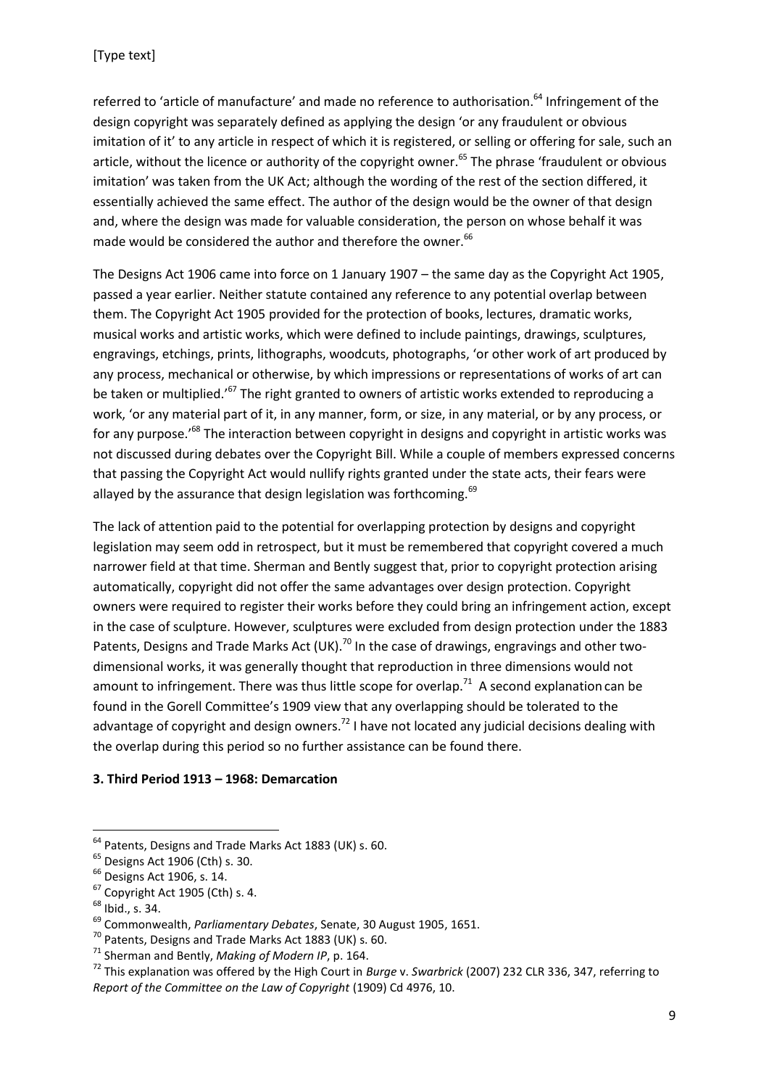referred to 'article of manufacture' and made no reference to authorisation.<sup>64</sup> Infringement of the design copyright was separately defined as applying the design 'or any fraudulent or obvious imitation of it' to any article in respect of which it is registered, or selling or offering for sale, such an article, without the licence or authority of the copyright owner.<sup>65</sup> The phrase 'fraudulent or obvious imitation' was taken from the UK Act; although the wording of the rest of the section differed, it essentially achieved the same effect. The author of the design would be the owner of that design and, where the design was made for valuable consideration, the person on whose behalf it was made would be considered the author and therefore the owner.<sup>66</sup>

The Designs Act 1906 came into force on 1 January 1907 – the same day as the Copyright Act 1905, passed a year earlier. Neither statute contained any reference to any potential overlap between them. The Copyright Act 1905 provided for the protection of books, lectures, dramatic works, musical works and artistic works, which were defined to include paintings, drawings, sculptures, engravings, etchings, prints, lithographs, woodcuts, photographs, 'or other work of art produced by any process, mechanical or otherwise, by which impressions or representations of works of art can be taken or multiplied.<sup>'67</sup> The right granted to owners of artistic works extended to reproducing a work, 'or any material part of it, in any manner, form, or size, in any material, or by any process, or for any purpose.'<sup>68</sup> The interaction between copyright in designs and copyright in artistic works was not discussed during debates over the Copyright Bill. While a couple of members expressed concerns that passing the Copyright Act would nullify rights granted under the state acts, their fears were allayed by the assurance that design legislation was forthcoming. $69$ 

The lack of attention paid to the potential for overlapping protection by designs and copyright legislation may seem odd in retrospect, but it must be remembered that copyright covered a much narrower field at that time. Sherman and Bently suggest that, prior to copyright protection arising automatically, copyright did not offer the same advantages over design protection. Copyright owners were required to register their works before they could bring an infringement action, except in the case of sculpture. However, sculptures were excluded from design protection under the 1883 Patents, Designs and Trade Marks Act (UK).<sup>70</sup> In the case of drawings, engravings and other twodimensional works, it was generally thought that reproduction in three dimensions would not amount to infringement. There was thus little scope for overlap.<sup>71</sup> A second explanation can be found in the Gorell Committee's 1909 view that any overlapping should be tolerated to the advantage of copyright and design owners.<sup>72</sup> I have not located any judicial decisions dealing with the overlap during this period so no further assistance can be found there.

# **3. Third Period 1913 – 1968: Demarcation**

 $64$  Patents, Designs and Trade Marks Act 1883 (UK) s. 60.

<sup>65</sup> Designs Act 1906 (Cth) s. 30.

<sup>66</sup> Designs Act 1906, s. 14.

 $67$  Copyright Act 1905 (Cth) s. 4.

<sup>68</sup> Ibid., s. 34.

<sup>69</sup> Commonwealth, *Parliamentary Debates*, Senate, 30 August 1905, 1651.

<sup>70</sup> Patents, Designs and Trade Marks Act 1883 (UK) s. 60.

<sup>71</sup> Sherman and Bently, *Making of Modern IP*, p. 164.

<sup>72</sup> This explanation was offered by the High Court in *Burge* v. *Swarbrick* (2007) 232 CLR 336, 347, referring to *Report of the Committee on the Law of Copyright* (1909) Cd 4976, 10.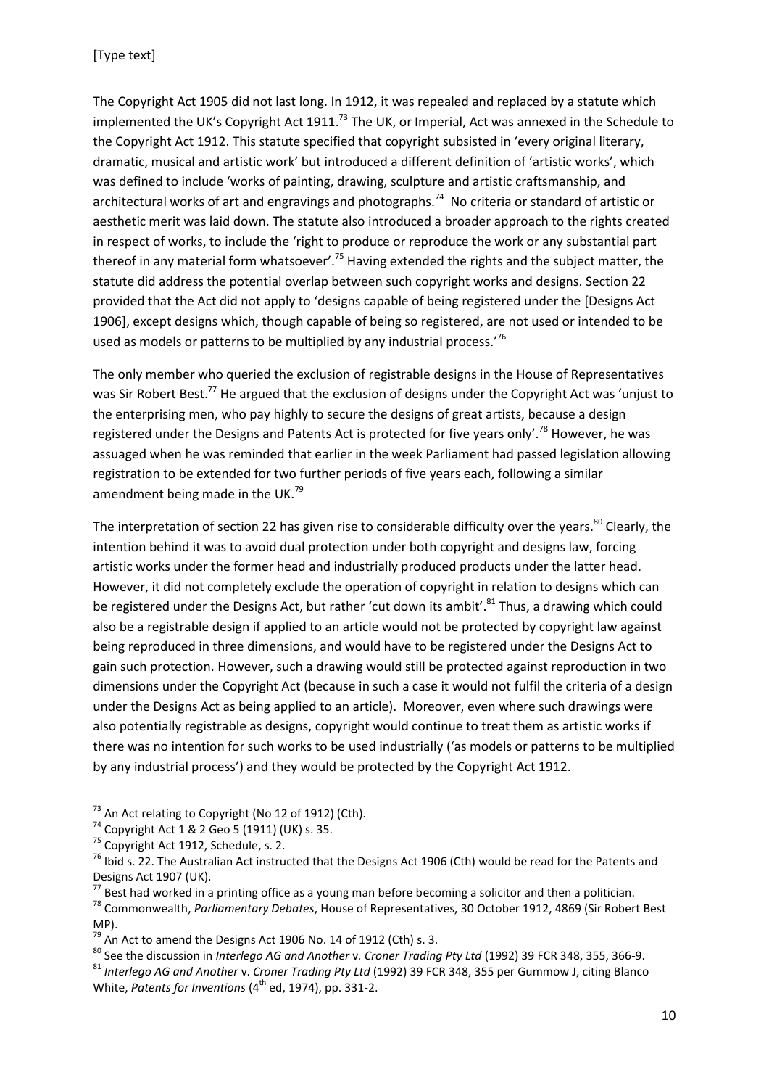The Copyright Act 1905 did not last long. In 1912, it was repealed and replaced by a statute which implemented the UK's Copyright Act  $1911.<sup>73</sup>$  The UK, or Imperial, Act was annexed in the Schedule to the Copyright Act 1912. This statute specified that copyright subsisted in 'every original literary, dramatic, musical and artistic work' but introduced a different definition of 'artistic works', which was defined to include 'works of painting, drawing, sculpture and artistic craftsmanship, and architectural works of art and engravings and photographs.<sup>74</sup> No criteria or standard of artistic or aesthetic merit was laid down. The statute also introduced a broader approach to the rights created in respect of works, to include the 'right to produce or reproduce the work or any substantial part thereof in any material form whatsoever'.<sup>75</sup> Having extended the rights and the subject matter, the statute did address the potential overlap between such copyright works and designs. Section 22 provided that the Act did not apply to 'designs capable of being registered under the [Designs Act 1906], except designs which, though capable of being so registered, are not used or intended to be used as models or patterns to be multiplied by any industrial process.<sup>76</sup>

The only member who queried the exclusion of registrable designs in the House of Representatives was Sir Robert Best.<sup>77</sup> He argued that the exclusion of designs under the Copyright Act was 'unjust to the enterprising men, who pay highly to secure the designs of great artists, because a design registered under the Designs and Patents Act is protected for five years only'.<sup>78</sup> However, he was assuaged when he was reminded that earlier in the week Parliament had passed legislation allowing registration to be extended for two further periods of five years each, following a similar amendment being made in the UK.<sup>79</sup>

The interpretation of section 22 has given rise to considerable difficulty over the years.<sup>80</sup> Clearly, the intention behind it was to avoid dual protection under both copyright and designs law, forcing artistic works under the former head and industrially produced products under the latter head. However, it did not completely exclude the operation of copyright in relation to designs which can be registered under the Designs Act, but rather 'cut down its ambit'.<sup>81</sup> Thus, a drawing which could also be a registrable design if applied to an article would not be protected by copyright law against being reproduced in three dimensions, and would have to be registered under the Designs Act to gain such protection. However, such a drawing would still be protected against reproduction in two dimensions under the Copyright Act (because in such a case it would not fulfil the criteria of a design under the Designs Act as being applied to an article). Moreover, even where such drawings were also potentially registrable as designs, copyright would continue to treat them as artistic works if there was no intention for such works to be used industrially ('as models or patterns to be multiplied by any industrial process') and they would be protected by the Copyright Act 1912.

 $^{73}$  An Act relating to Copyright (No 12 of 1912) (Cth).

<sup>74</sup> Copyright Act 1 & 2 Geo 5 (1911) (UK) s. 35.

<sup>75</sup> Copyright Act 1912, Schedule, s. 2.

 $^{76}$  Ibid s. 22. The Australian Act instructed that the Designs Act 1906 (Cth) would be read for the Patents and Designs Act 1907 (UK).

 $77$  Best had worked in a printing office as a young man before becoming a solicitor and then a politician.

<sup>78</sup> Commonwealth, *Parliamentary Debates*, House of Representatives, 30 October 1912, 4869 (Sir Robert Best MP).

 $79$  An Act to amend the Designs Act 1906 No. 14 of 1912 (Cth) s. 3.

<sup>80</sup> See the discussion in *Interlego AG and Another* v*. Croner Trading Pty Ltd* (1992) 39 FCR 348, 355, 366-9.

<sup>81</sup> *Interlego AG and Another* v. *Croner Trading Pty Ltd* (1992) 39 FCR 348, 355 per Gummow J, citing Blanco White, *Patents for Inventions* (4<sup>th</sup> ed, 1974), pp. 331-2.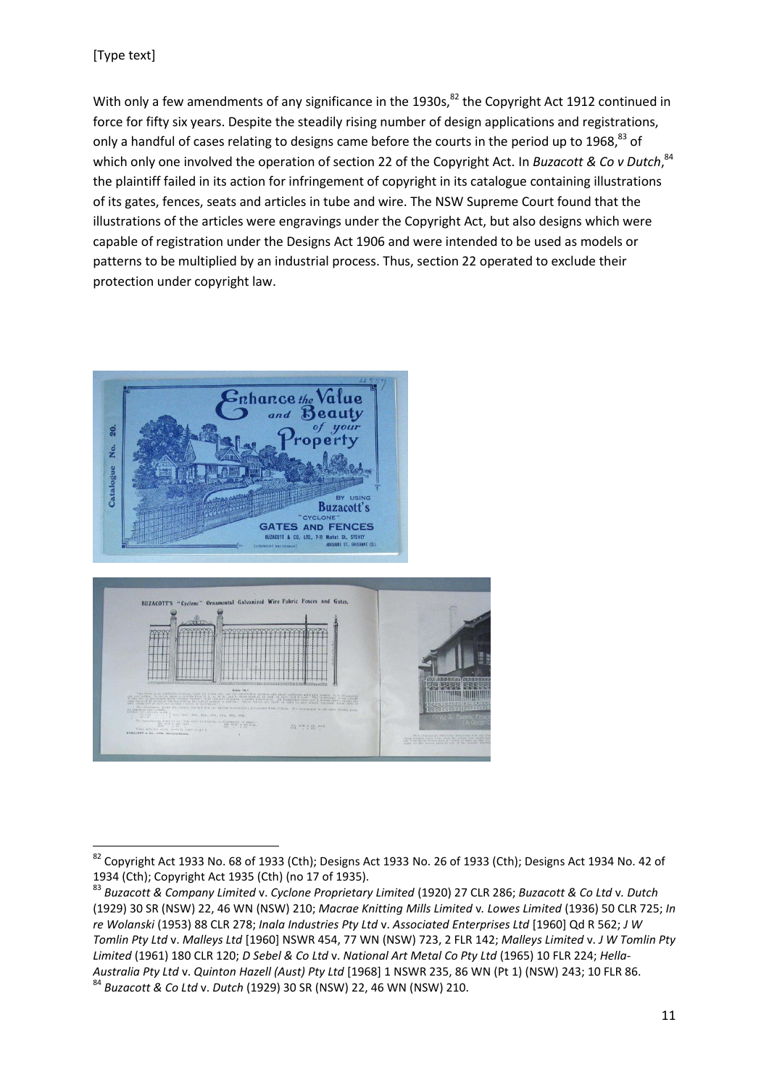With only a few amendments of any significance in the 1930s, $^{82}$  the Copyright Act 1912 continued in force for fifty six years. Despite the steadily rising number of design applications and registrations, only a handful of cases relating to designs came before the courts in the period up to 1968,<sup>83</sup> of which only one involved the operation of section 22 of the Copyright Act. In *Buzacott & Co v Dutch*,<sup>84</sup> the plaintiff failed in its action for infringement of copyright in its catalogue containing illustrations of its gates, fences, seats and articles in tube and wire. The NSW Supreme Court found that the illustrations of the articles were engravings under the Copyright Act, but also designs which were capable of registration under the Designs Act 1906 and were intended to be used as models or patterns to be multiplied by an industrial process. Thus, section 22 operated to exclude their protection under copyright law.





 $\overline{a}$  $^{82}$  Copyright Act 1933 No. 68 of 1933 (Cth); Designs Act 1933 No. 26 of 1933 (Cth); Designs Act 1934 No. 42 of 1934 (Cth); Copyright Act 1935 (Cth) (no 17 of 1935).

<sup>83</sup> *Buzacott & Company Limited* v. *Cyclone Proprietary Limited* (1920) 27 CLR 286; *Buzacott & Co Ltd* v*. Dutch*  (1929) 30 SR (NSW) 22, 46 WN (NSW) 210; *Macrae Knitting Mills Limited* v*. Lowes Limited* (1936) 50 CLR 725; *In re Wolanski* (1953) 88 CLR 278; *Inala Industries Pty Ltd* v. *Associated Enterprises Ltd* [1960] Qd R 562; *J W Tomlin Pty Ltd* v. *Malleys Ltd* [1960] NSWR 454, 77 WN (NSW) 723, 2 FLR 142; *Malleys Limited* v. *J W Tomlin Pty Limited* (1961) 180 CLR 120; *D Sebel & Co Ltd* v. *National Art Metal Co Pty Ltd* (1965) 10 FLR 224; *Hella-Australia Pty Ltd* v. *Quinton Hazell (Aust) Pty Ltd* [1968] 1 NSWR 235, 86 WN (Pt 1) (NSW) 243; 10 FLR 86.

<sup>84</sup> *Buzacott & Co Ltd* v. *Dutch* (1929) 30 SR (NSW) 22, 46 WN (NSW) 210.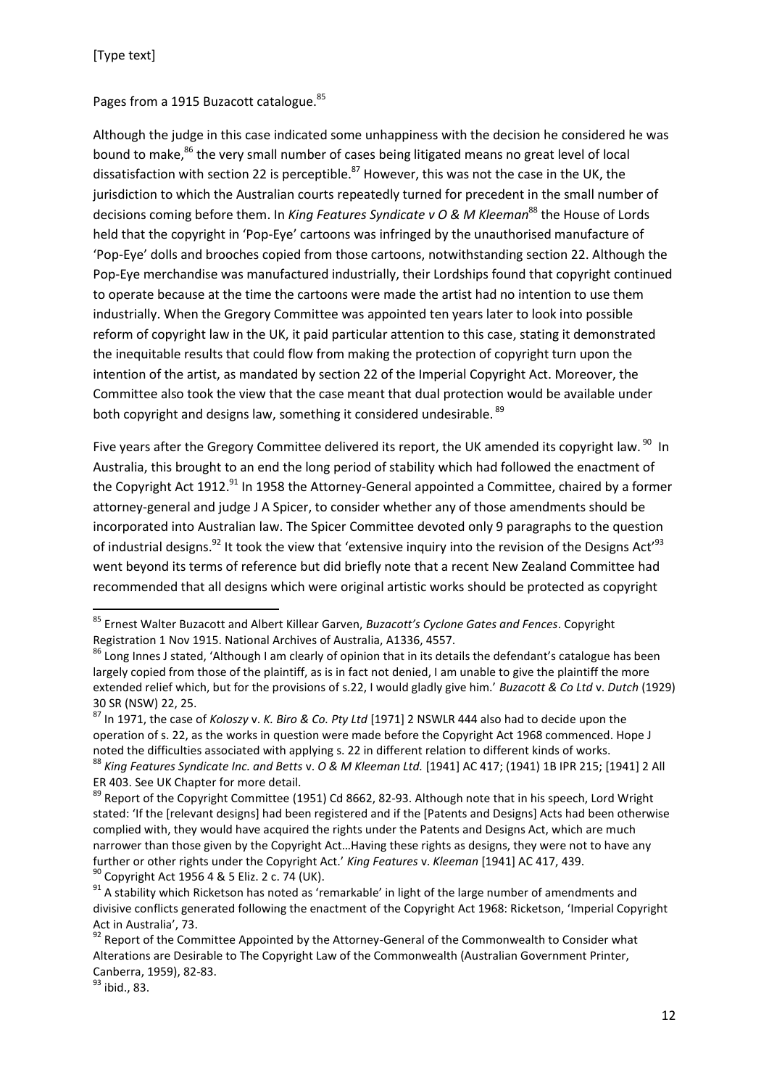Pages from a 1915 Buzacott catalogue.<sup>85</sup>

Although the judge in this case indicated some unhappiness with the decision he considered he was bound to make,<sup>86</sup> the very small number of cases being litigated means no great level of local dissatisfaction with section 22 is perceptible.<sup>87</sup> However, this was not the case in the UK, the jurisdiction to which the Australian courts repeatedly turned for precedent in the small number of decisions coming before them. In *King Features Syndicate v O & M Kleeman*<sup>88</sup> the House of Lords held that the copyright in 'Pop-Eye' cartoons was infringed by the unauthorised manufacture of 'Pop-Eye' dolls and brooches copied from those cartoons, notwithstanding section 22. Although the Pop-Eye merchandise was manufactured industrially, their Lordships found that copyright continued to operate because at the time the cartoons were made the artist had no intention to use them industrially. When the Gregory Committee was appointed ten years later to look into possible reform of copyright law in the UK, it paid particular attention to this case, stating it demonstrated the inequitable results that could flow from making the protection of copyright turn upon the intention of the artist, as mandated by section 22 of the Imperial Copyright Act. Moreover, the Committee also took the view that the case meant that dual protection would be available under both copyright and designs law, something it considered undesirable. <sup>89</sup>

Five years after the Gregory Committee delivered its report, the UK amended its copyright law. <sup>90</sup> In Australia, this brought to an end the long period of stability which had followed the enactment of the Copyright Act 1912.<sup>91</sup> In 1958 the Attorney-General appointed a Committee, chaired by a former attorney-general and judge J A Spicer, to consider whether any of those amendments should be incorporated into Australian law. The Spicer Committee devoted only 9 paragraphs to the question of industrial designs.<sup>92</sup> It took the view that 'extensive inquiry into the revision of the Designs Act<sup>'93</sup> went beyond its terms of reference but did briefly note that a recent New Zealand Committee had recommended that all designs which were original artistic works should be protected as copyright

 $93$  ibid., 83.

<sup>85</sup> Ernest Walter Buzacott and Albert Killear Garven, *Buzacott's Cyclone Gates and Fences*. Copyright Registration 1 Nov 1915. National Archives of Australia, A1336, 4557.

<sup>&</sup>lt;sup>86</sup> Long Innes J stated, 'Although I am clearly of opinion that in its details the defendant's catalogue has been largely copied from those of the plaintiff, as is in fact not denied, I am unable to give the plaintiff the more extended relief which, but for the provisions of s.22, I would gladly give him.' *Buzacott & Co Ltd* v. *Dutch* (1929) 30 SR (NSW) 22, 25.

<sup>87</sup> In 1971, the case of *Koloszy* v. *K. Biro & Co. Pty Ltd* [1971] 2 NSWLR 444 also had to decide upon the operation of s. 22, as the works in question were made before the Copyright Act 1968 commenced. Hope J noted the difficulties associated with applying s. 22 in different relation to different kinds of works.

<sup>88</sup> *King Features Syndicate Inc. and Betts* v. *O & M Kleeman Ltd.* [1941] AC 417; (1941) 1B IPR 215; [1941] 2 All ER 403. See UK Chapter for more detail.

<sup>&</sup>lt;sup>89</sup> Report of the Copyright Committee (1951) Cd 8662, 82-93. Although note that in his speech, Lord Wright stated: 'If the [relevant designs] had been registered and if the [Patents and Designs] Acts had been otherwise complied with, they would have acquired the rights under the Patents and Designs Act, which are much narrower than those given by the Copyright Act…Having these rights as designs, they were not to have any further or other rights under the Copyright Act.' *King Features* v. *Kleeman* [1941] AC 417, 439.  $90$  Copyright Act 1956 4 & 5 Eliz. 2 c. 74 (UK).

<sup>&</sup>lt;sup>91</sup> A stability which Ricketson has noted as 'remarkable' in light of the large number of amendments and divisive conflicts generated following the enactment of the Copyright Act 1968: Ricketson, 'Imperial Copyright Act in Australia', 73.

<sup>&</sup>lt;sup>92</sup> Report of the Committee Appointed by the Attorney-General of the Commonwealth to Consider what Alterations are Desirable to The Copyright Law of the Commonwealth (Australian Government Printer, Canberra, 1959), 82-83.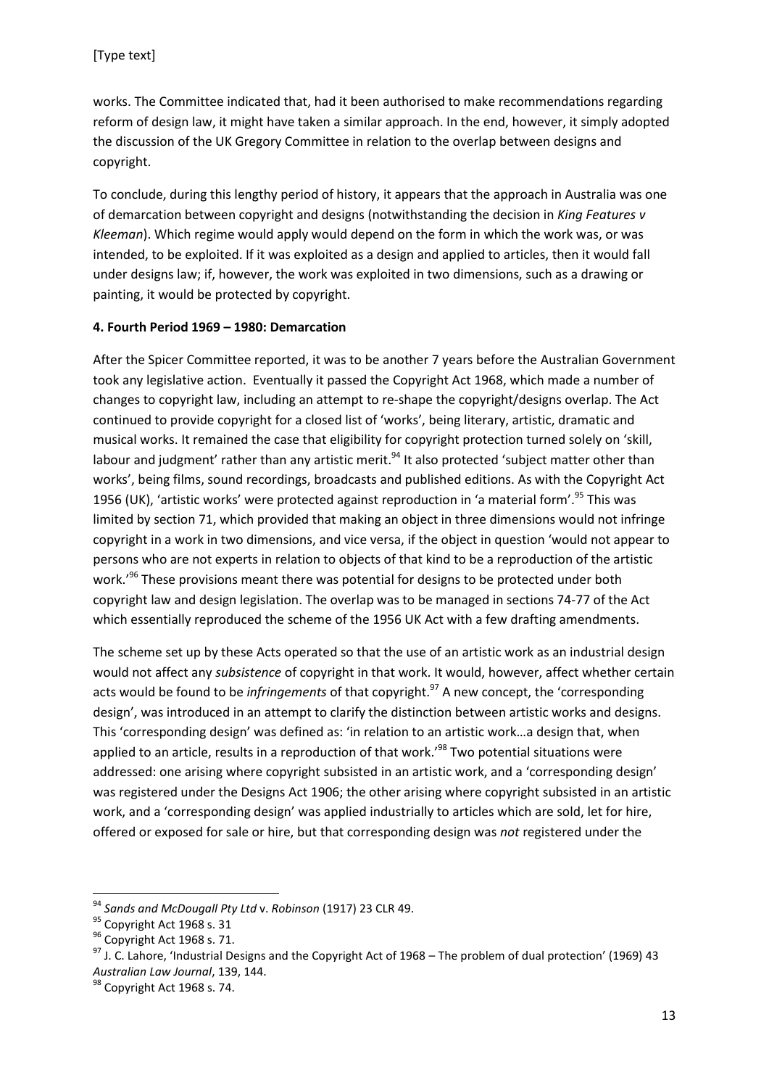works. The Committee indicated that, had it been authorised to make recommendations regarding reform of design law, it might have taken a similar approach. In the end, however, it simply adopted the discussion of the UK Gregory Committee in relation to the overlap between designs and copyright.

To conclude, during this lengthy period of history, it appears that the approach in Australia was one of demarcation between copyright and designs (notwithstanding the decision in *King Features v Kleeman*). Which regime would apply would depend on the form in which the work was, or was intended, to be exploited. If it was exploited as a design and applied to articles, then it would fall under designs law; if, however, the work was exploited in two dimensions, such as a drawing or painting, it would be protected by copyright.

# **4. Fourth Period 1969 – 1980: Demarcation**

After the Spicer Committee reported, it was to be another 7 years before the Australian Government took any legislative action. Eventually it passed the Copyright Act 1968, which made a number of changes to copyright law, including an attempt to re-shape the copyright/designs overlap. The Act continued to provide copyright for a closed list of 'works', being literary, artistic, dramatic and musical works. It remained the case that eligibility for copyright protection turned solely on 'skill, labour and judgment' rather than any artistic merit.<sup>94</sup> It also protected 'subject matter other than works', being films, sound recordings, broadcasts and published editions. As with the Copyright Act 1956 (UK), 'artistic works' were protected against reproduction in 'a material form'.<sup>95</sup> This was limited by section 71, which provided that making an object in three dimensions would not infringe copyright in a work in two dimensions, and vice versa, if the object in question 'would not appear to persons who are not experts in relation to objects of that kind to be a reproduction of the artistic work.<sup>'96</sup> These provisions meant there was potential for designs to be protected under both copyright law and design legislation. The overlap was to be managed in sections 74-77 of the Act which essentially reproduced the scheme of the 1956 UK Act with a few drafting amendments.

The scheme set up by these Acts operated so that the use of an artistic work as an industrial design would not affect any *subsistence* of copyright in that work. It would, however, affect whether certain acts would be found to be *infringements* of that copyright.<sup>97</sup> A new concept, the 'corresponding design', was introduced in an attempt to clarify the distinction between artistic works and designs. This 'corresponding design' was defined as: 'in relation to an artistic work…a design that, when applied to an article, results in a reproduction of that work.<sup> $98$ </sup> Two potential situations were addressed: one arising where copyright subsisted in an artistic work, and a 'corresponding design' was registered under the Designs Act 1906; the other arising where copyright subsisted in an artistic work, and a 'corresponding design' was applied industrially to articles which are sold, let for hire, offered or exposed for sale or hire, but that corresponding design was *not* registered under the

**<sup>.</sup>** <sup>94</sup> *Sands and McDougall Pty Ltd* v. *Robinson* (1917) 23 CLR 49.

<sup>95</sup> Copyright Act 1968 s. 31

<sup>96</sup> Copyright Act 1968 s. 71.

 $97$  J. C. Lahore, 'Industrial Designs and the Copyright Act of 1968 – The problem of dual protection' (1969) 43 *Australian Law Journal*, 139, 144.

<sup>98</sup> Copyright Act 1968 s. 74.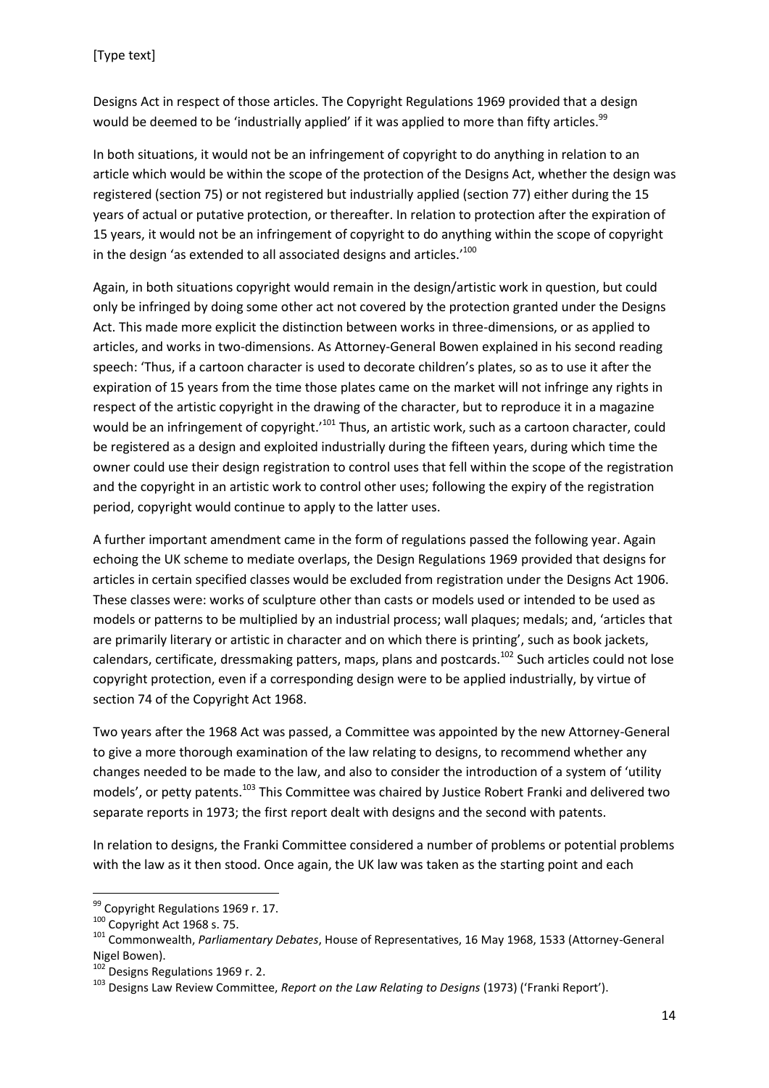Designs Act in respect of those articles. The Copyright Regulations 1969 provided that a design would be deemed to be 'industrially applied' if it was applied to more than fifty articles.<sup>99</sup>

In both situations, it would not be an infringement of copyright to do anything in relation to an article which would be within the scope of the protection of the Designs Act, whether the design was registered (section 75) or not registered but industrially applied (section 77) either during the 15 years of actual or putative protection, or thereafter. In relation to protection after the expiration of 15 years, it would not be an infringement of copyright to do anything within the scope of copyright in the design 'as extended to all associated designs and articles.<sup>'100</sup>

Again, in both situations copyright would remain in the design/artistic work in question, but could only be infringed by doing some other act not covered by the protection granted under the Designs Act. This made more explicit the distinction between works in three-dimensions, or as applied to articles, and works in two-dimensions. As Attorney-General Bowen explained in his second reading speech: 'Thus, if a cartoon character is used to decorate children's plates, so as to use it after the expiration of 15 years from the time those plates came on the market will not infringe any rights in respect of the artistic copyright in the drawing of the character, but to reproduce it in a magazine would be an infringement of copyright.<sup>'101</sup> Thus, an artistic work, such as a cartoon character, could be registered as a design and exploited industrially during the fifteen years, during which time the owner could use their design registration to control uses that fell within the scope of the registration and the copyright in an artistic work to control other uses; following the expiry of the registration period, copyright would continue to apply to the latter uses.

A further important amendment came in the form of regulations passed the following year. Again echoing the UK scheme to mediate overlaps, the Design Regulations 1969 provided that designs for articles in certain specified classes would be excluded from registration under the Designs Act 1906. These classes were: works of sculpture other than casts or models used or intended to be used as models or patterns to be multiplied by an industrial process; wall plaques; medals; and, 'articles that are primarily literary or artistic in character and on which there is printing', such as book jackets, calendars, certificate, dressmaking patters, maps, plans and postcards.<sup>102</sup> Such articles could not lose copyright protection, even if a corresponding design were to be applied industrially, by virtue of section 74 of the Copyright Act 1968.

Two years after the 1968 Act was passed, a Committee was appointed by the new Attorney-General to give a more thorough examination of the law relating to designs, to recommend whether any changes needed to be made to the law, and also to consider the introduction of a system of 'utility models', or petty patents.<sup>103</sup> This Committee was chaired by Justice Robert Franki and delivered two separate reports in 1973; the first report dealt with designs and the second with patents.

In relation to designs, the Franki Committee considered a number of problems or potential problems with the law as it then stood. Once again, the UK law was taken as the starting point and each

**<sup>.</sup>** <sup>99</sup> Copyright Regulations 1969 r. 17.

 $100$  Copyright Act 1968 s. 75.

<sup>101</sup> Commonwealth, *Parliamentary Debates*, House of Representatives, 16 May 1968, 1533 (Attorney-General Nigel Bowen).

<sup>&</sup>lt;sup>102</sup> Designs Regulations 1969 r. 2.

<sup>103</sup> Designs Law Review Committee, *Report on the Law Relating to Designs* (1973) ('Franki Report').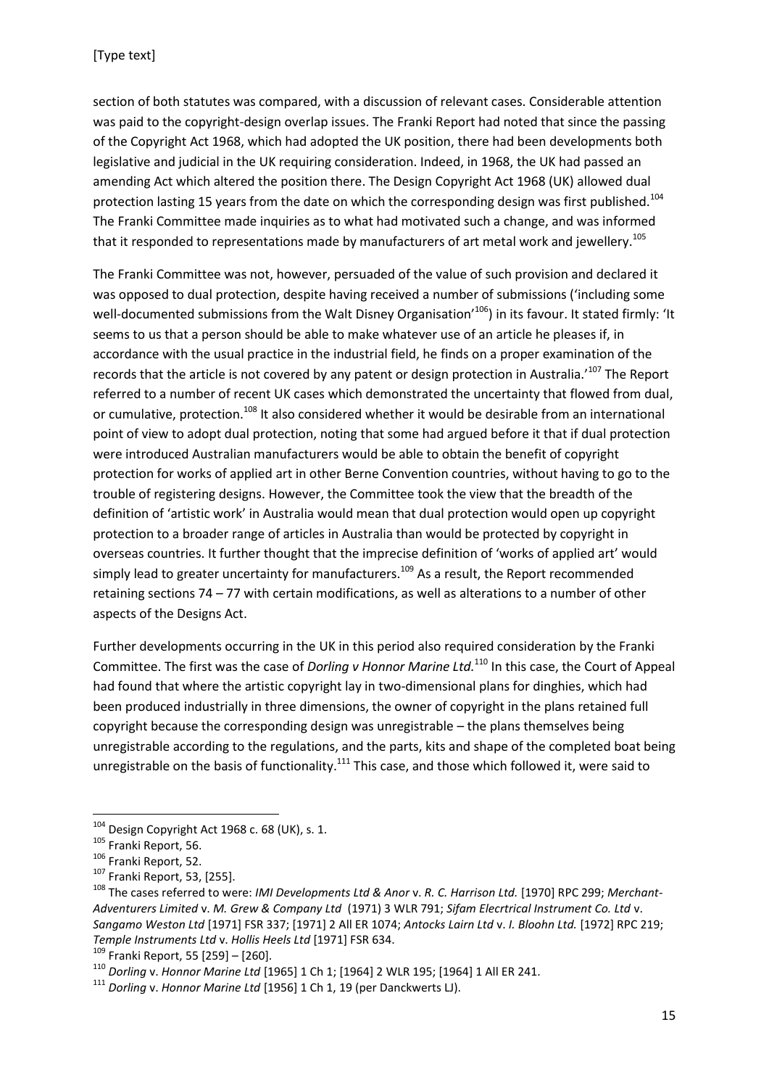section of both statutes was compared, with a discussion of relevant cases. Considerable attention was paid to the copyright-design overlap issues. The Franki Report had noted that since the passing of the Copyright Act 1968, which had adopted the UK position, there had been developments both legislative and judicial in the UK requiring consideration. Indeed, in 1968, the UK had passed an amending Act which altered the position there. The Design Copyright Act 1968 (UK) allowed dual protection lasting 15 years from the date on which the corresponding design was first published.<sup>104</sup> The Franki Committee made inquiries as to what had motivated such a change, and was informed that it responded to representations made by manufacturers of art metal work and jewellery.<sup>105</sup>

The Franki Committee was not, however, persuaded of the value of such provision and declared it was opposed to dual protection, despite having received a number of submissions ('including some well-documented submissions from the Walt Disney Organisation<sup>106</sup>) in its favour. It stated firmly: 'It seems to us that a person should be able to make whatever use of an article he pleases if, in accordance with the usual practice in the industrial field, he finds on a proper examination of the records that the article is not covered by any patent or design protection in Australia.<sup>107</sup> The Report referred to a number of recent UK cases which demonstrated the uncertainty that flowed from dual, or cumulative, protection.<sup>108</sup> It also considered whether it would be desirable from an international point of view to adopt dual protection, noting that some had argued before it that if dual protection were introduced Australian manufacturers would be able to obtain the benefit of copyright protection for works of applied art in other Berne Convention countries, without having to go to the trouble of registering designs. However, the Committee took the view that the breadth of the definition of 'artistic work' in Australia would mean that dual protection would open up copyright protection to a broader range of articles in Australia than would be protected by copyright in overseas countries. It further thought that the imprecise definition of 'works of applied art' would simply lead to greater uncertainty for manufacturers.<sup>109</sup> As a result, the Report recommended retaining sections 74 – 77 with certain modifications, as well as alterations to a number of other aspects of the Designs Act.

Further developments occurring in the UK in this period also required consideration by the Franki Committee. The first was the case of *Dorling v Honnor Marine Ltd.*<sup>110</sup> In this case, the Court of Appeal had found that where the artistic copyright lay in two-dimensional plans for dinghies, which had been produced industrially in three dimensions, the owner of copyright in the plans retained full copyright because the corresponding design was unregistrable – the plans themselves being unregistrable according to the regulations, and the parts, kits and shape of the completed boat being unregistrable on the basis of functionality.<sup>111</sup> This case, and those which followed it, were said to

 $104$  Design Copyright Act 1968 c. 68 (UK), s. 1.

<sup>105</sup> Franki Report, 56.

<sup>106</sup> Franki Report, 52.

<sup>&</sup>lt;sup>107</sup> Franki Report, 53, [255].

<sup>108</sup> The cases referred to were: *IMI Developments Ltd & Anor* v. *R. C. Harrison Ltd.* [1970] RPC 299; *Merchant-Adventurers Limited* v. *M. Grew & Company Ltd* (1971) 3 WLR 791; *Sifam Elecrtrical Instrument Co. Ltd* v. *Sangamo Weston Ltd* [1971] FSR 337; [1971] 2 All ER 1074; *Antocks Lairn Ltd* v. *I. Bloohn Ltd.* [1972] RPC 219; *Temple Instruments Ltd* v. *Hollis Heels Ltd* [1971] FSR 634.

 $109$  Franki Report, 55 [259] - [260].

<sup>110</sup> *Dorling* v. *Honnor Marine Ltd* [1965] 1 Ch 1; [1964] 2 WLR 195; [1964] 1 All ER 241.

<sup>111</sup> *Dorling* v. *Honnor Marine Ltd* [1956] 1 Ch 1, 19 (per Danckwerts LJ).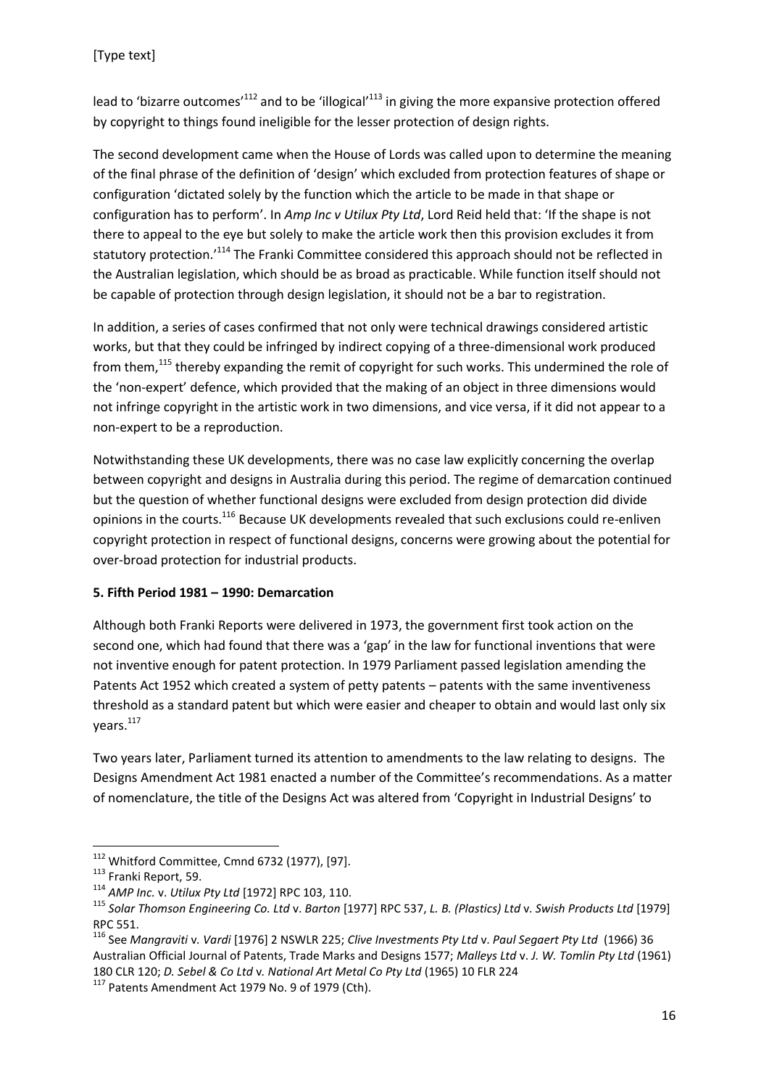lead to 'bizarre outcomes'<sup>112</sup> and to be 'illogical'<sup>113</sup> in giving the more expansive protection offered by copyright to things found ineligible for the lesser protection of design rights.

The second development came when the House of Lords was called upon to determine the meaning of the final phrase of the definition of 'design' which excluded from protection features of shape or configuration 'dictated solely by the function which the article to be made in that shape or configuration has to perform'. In *Amp Inc v Utilux Pty Ltd*, Lord Reid held that: 'If the shape is not there to appeal to the eye but solely to make the article work then this provision excludes it from statutory protection.<sup>'114</sup> The Franki Committee considered this approach should not be reflected in the Australian legislation, which should be as broad as practicable. While function itself should not be capable of protection through design legislation, it should not be a bar to registration.

In addition, a series of cases confirmed that not only were technical drawings considered artistic works, but that they could be infringed by indirect copying of a three-dimensional work produced from them,<sup>115</sup> thereby expanding the remit of copyright for such works. This undermined the role of the 'non-expert' defence, which provided that the making of an object in three dimensions would not infringe copyright in the artistic work in two dimensions, and vice versa, if it did not appear to a non-expert to be a reproduction.

Notwithstanding these UK developments, there was no case law explicitly concerning the overlap between copyright and designs in Australia during this period. The regime of demarcation continued but the question of whether functional designs were excluded from design protection did divide opinions in the courts.<sup>116</sup> Because UK developments revealed that such exclusions could re-enliven copyright protection in respect of functional designs, concerns were growing about the potential for over-broad protection for industrial products.

# **5. Fifth Period 1981 – 1990: Demarcation**

Although both Franki Reports were delivered in 1973, the government first took action on the second one, which had found that there was a 'gap' in the law for functional inventions that were not inventive enough for patent protection. In 1979 Parliament passed legislation amending the Patents Act 1952 which created a system of petty patents – patents with the same inventiveness threshold as a standard patent but which were easier and cheaper to obtain and would last only six years.<sup>117</sup>

Two years later, Parliament turned its attention to amendments to the law relating to designs. The Designs Amendment Act 1981 enacted a number of the Committee's recommendations. As a matter of nomenclature, the title of the Designs Act was altered from 'Copyright in Industrial Designs' to

 $\overline{a}$ <sup>112</sup> Whitford Committee, Cmnd 6732 (1977), [97].

<sup>113</sup> Franki Report, 59.

<sup>114</sup> *AMP Inc.* v. *Utilux Pty Ltd* [1972] RPC 103, 110.

<sup>115</sup> *Solar Thomson Engineering Co. Ltd* v. *Barton* [1977] RPC 537, *L. B. (Plastics) Ltd* v. *Swish Products Ltd* [1979] RPC 551.

<sup>116</sup> See *Mangraviti* v*. Vardi* [1976] 2 NSWLR 225; *Clive Investments Pty Ltd* v. *Paul Segaert Pty Ltd* (1966) 36 Australian Official Journal of Patents, Trade Marks and Designs 1577; *Malleys Ltd* v. *J. W. Tomlin Pty Ltd* (1961) 180 CLR 120; *D. Sebel & Co Ltd* v*. National Art Metal Co Pty Ltd* (1965) 10 FLR 224

<sup>&</sup>lt;sup>117</sup> Patents Amendment Act 1979 No. 9 of 1979 (Cth).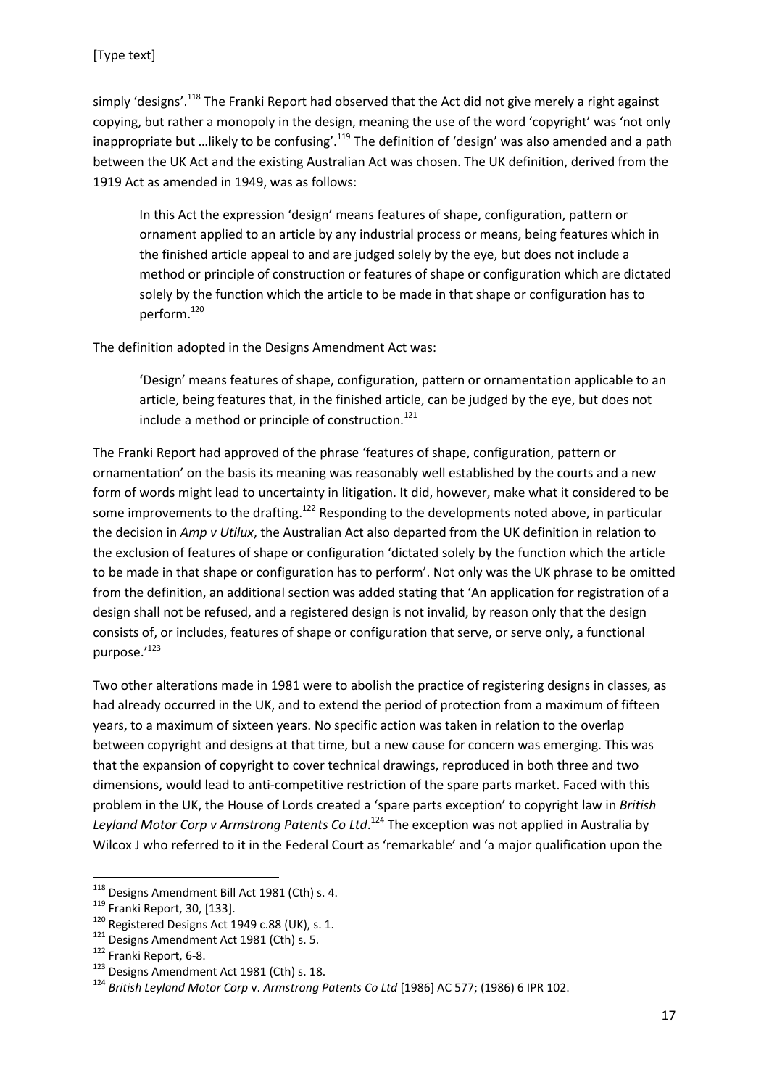simply 'designs'.<sup>118</sup> The Franki Report had observed that the Act did not give merely a right against copying, but rather a monopoly in the design, meaning the use of the word 'copyright' was 'not only inappropriate but ... likely to be confusing'.<sup>119</sup> The definition of 'design' was also amended and a path between the UK Act and the existing Australian Act was chosen. The UK definition, derived from the 1919 Act as amended in 1949, was as follows:

In this Act the expression 'design' means features of shape, configuration, pattern or ornament applied to an article by any industrial process or means, being features which in the finished article appeal to and are judged solely by the eye, but does not include a method or principle of construction or features of shape or configuration which are dictated solely by the function which the article to be made in that shape or configuration has to perform.<sup>120</sup>

The definition adopted in the Designs Amendment Act was:

'Design' means features of shape, configuration, pattern or ornamentation applicable to an article, being features that, in the finished article, can be judged by the eye, but does not include a method or principle of construction.<sup>121</sup>

The Franki Report had approved of the phrase 'features of shape, configuration, pattern or ornamentation' on the basis its meaning was reasonably well established by the courts and a new form of words might lead to uncertainty in litigation. It did, however, make what it considered to be some improvements to the drafting.<sup>122</sup> Responding to the developments noted above, in particular the decision in *Amp v Utilux*, the Australian Act also departed from the UK definition in relation to the exclusion of features of shape or configuration 'dictated solely by the function which the article to be made in that shape or configuration has to perform'. Not only was the UK phrase to be omitted from the definition, an additional section was added stating that 'An application for registration of a design shall not be refused, and a registered design is not invalid, by reason only that the design consists of, or includes, features of shape or configuration that serve, or serve only, a functional purpose.'<sup>123</sup>

Two other alterations made in 1981 were to abolish the practice of registering designs in classes, as had already occurred in the UK, and to extend the period of protection from a maximum of fifteen years, to a maximum of sixteen years. No specific action was taken in relation to the overlap between copyright and designs at that time, but a new cause for concern was emerging. This was that the expansion of copyright to cover technical drawings, reproduced in both three and two dimensions, would lead to anti-competitive restriction of the spare parts market. Faced with this problem in the UK, the House of Lords created a 'spare parts exception' to copyright law in *British*  Leyland Motor Corp v Armstrong Patents Co Ltd.<sup>124</sup> The exception was not applied in Australia by Wilcox J who referred to it in the Federal Court as 'remarkable' and 'a major qualification upon the

 $\overline{a}$ 

<sup>&</sup>lt;sup>118</sup> Designs Amendment Bill Act 1981 (Cth) s. 4.

<sup>119</sup> Franki Report, 30, [133].

<sup>&</sup>lt;sup>120</sup> Registered Designs Act 1949 c.88 (UK), s. 1.

<sup>&</sup>lt;sup>121</sup> Designs Amendment Act 1981 (Cth) s. 5.

<sup>122</sup> Franki Report, 6-8.

<sup>&</sup>lt;sup>123</sup> Designs Amendment Act 1981 (Cth) s. 18.

<sup>124</sup> *British Leyland Motor Corp* v. *Armstrong Patents Co Ltd* [1986] AC 577; (1986) 6 IPR 102.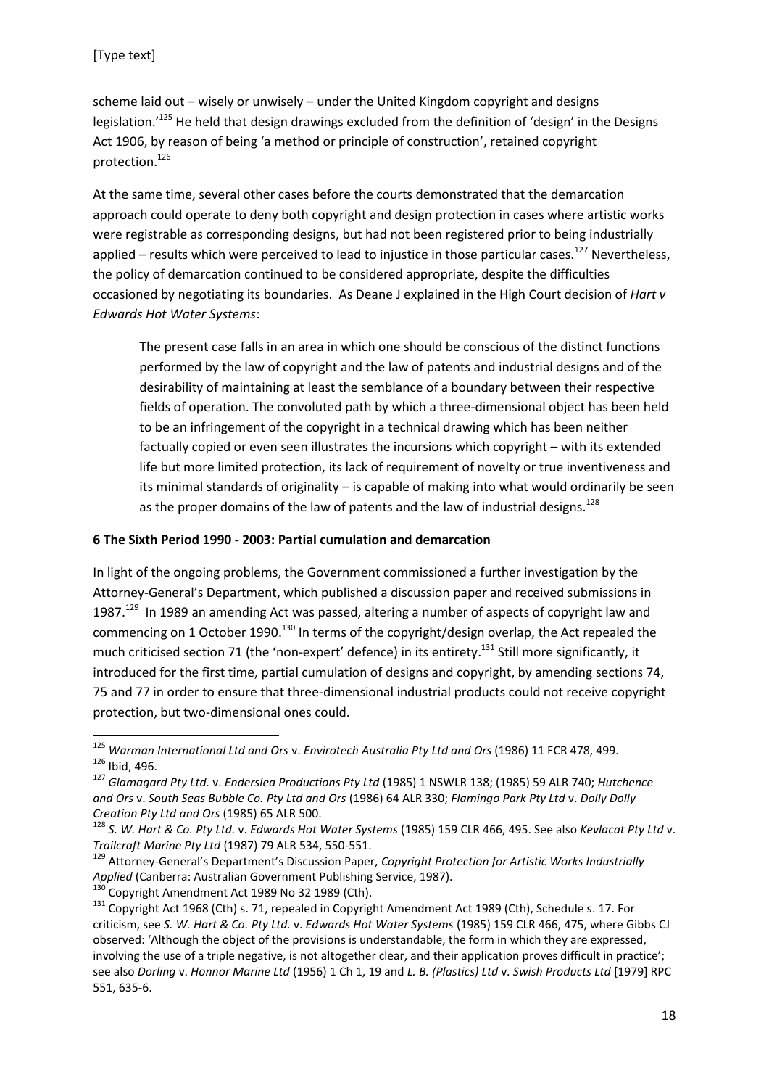$\overline{a}$ 

scheme laid out – wisely or unwisely – under the United Kingdom copyright and designs legislation.'<sup>125</sup> He held that design drawings excluded from the definition of 'design' in the Designs Act 1906, by reason of being 'a method or principle of construction', retained copyright protection.<sup>126</sup>

At the same time, several other cases before the courts demonstrated that the demarcation approach could operate to deny both copyright and design protection in cases where artistic works were registrable as corresponding designs, but had not been registered prior to being industrially applied – results which were perceived to lead to injustice in those particular cases.<sup>127</sup> Nevertheless, the policy of demarcation continued to be considered appropriate, despite the difficulties occasioned by negotiating its boundaries. As Deane J explained in the High Court decision of *Hart v Edwards Hot Water Systems*:

The present case falls in an area in which one should be conscious of the distinct functions performed by the law of copyright and the law of patents and industrial designs and of the desirability of maintaining at least the semblance of a boundary between their respective fields of operation. The convoluted path by which a three-dimensional object has been held to be an infringement of the copyright in a technical drawing which has been neither factually copied or even seen illustrates the incursions which copyright – with its extended life but more limited protection, its lack of requirement of novelty or true inventiveness and its minimal standards of originality – is capable of making into what would ordinarily be seen as the proper domains of the law of patents and the law of industrial designs.<sup>128</sup>

# **6 The Sixth Period 1990 - 2003: Partial cumulation and demarcation**

In light of the ongoing problems, the Government commissioned a further investigation by the Attorney-General's Department, which published a discussion paper and received submissions in 1987.<sup>129</sup> In 1989 an amending Act was passed, altering a number of aspects of copyright law and commencing on 1 October 1990.<sup>130</sup> In terms of the copyright/design overlap, the Act repealed the much criticised section 71 (the 'non-expert' defence) in its entirety.<sup>131</sup> Still more significantly, it introduced for the first time, partial cumulation of designs and copyright, by amending sections 74, 75 and 77 in order to ensure that three-dimensional industrial products could not receive copyright protection, but two-dimensional ones could.

<sup>125</sup> *Warman International Ltd and Ors* v. *Envirotech Australia Pty Ltd and Ors* (1986) 11 FCR 478, 499. <sup>126</sup> Ibid, 496.

<sup>127</sup> *Glamagard Pty Ltd.* v. *Enderslea Productions Pty Ltd* (1985) 1 NSWLR 138; (1985) 59 ALR 740; *Hutchence and Ors* v. *South Seas Bubble Co. Pty Ltd and Ors* (1986) 64 ALR 330; *Flamingo Park Pty Ltd* v. *Dolly Dolly Creation Pty Ltd and Ors* (1985) 65 ALR 500.

<sup>128</sup> *S. W. Hart & Co. Pty Ltd.* v. *Edwards Hot Water Systems* (1985) 159 CLR 466, 495. See also *Kevlacat Pty Ltd* v. *Trailcraft Marine Pty Ltd* (1987) 79 ALR 534, 550-551.

<sup>129</sup> Attorney-General's Department's Discussion Paper, *Copyright Protection for Artistic Works Industrially Applied* (Canberra: Australian Government Publishing Service, 1987).

 $130$  Copyright Amendment Act 1989 No 32 1989 (Cth).

<sup>131</sup> Copyright Act 1968 (Cth) s. 71, repealed in Copyright Amendment Act 1989 (Cth), Schedule s. 17. For criticism, see *S. W. Hart & Co. Pty Ltd.* v. *Edwards Hot Water Systems* (1985) 159 CLR 466, 475, where Gibbs CJ observed: 'Although the object of the provisions is understandable, the form in which they are expressed, involving the use of a triple negative, is not altogether clear, and their application proves difficult in practice'; see also *Dorling* v. *Honnor Marine Ltd* (1956) 1 Ch 1, 19 and *L. B. (Plastics) Ltd* v. *Swish Products Ltd* [1979] RPC 551, 635-6.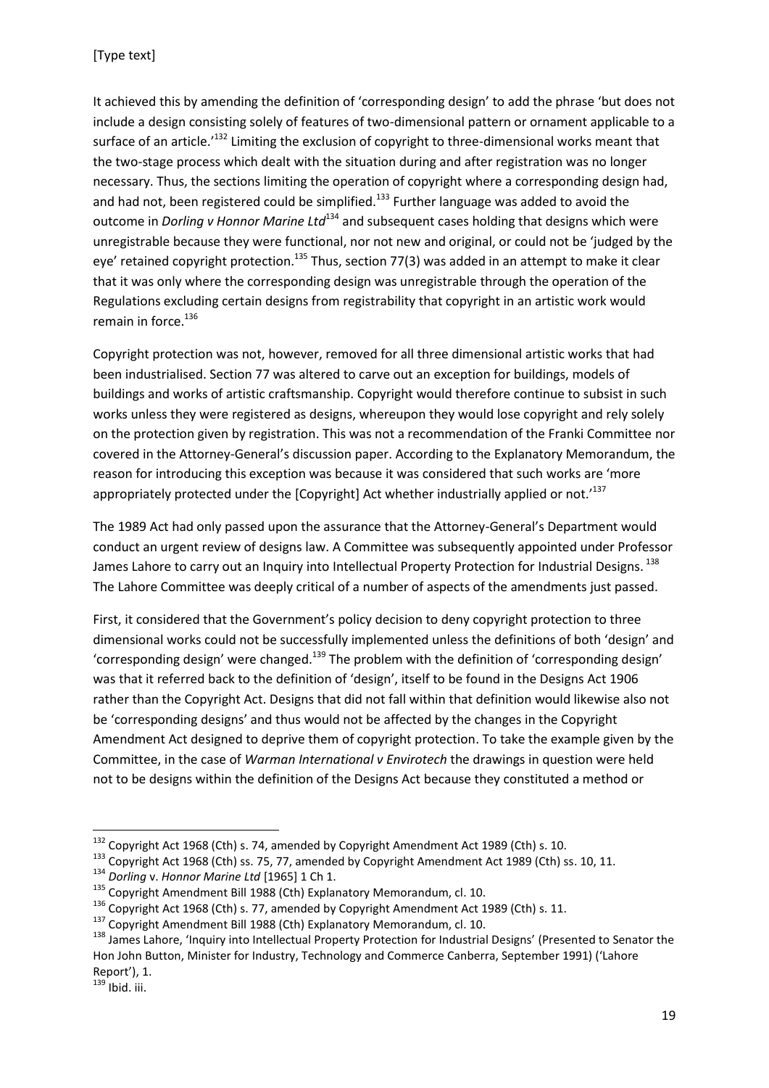It achieved this by amending the definition of 'corresponding design' to add the phrase 'but does not include a design consisting solely of features of two-dimensional pattern or ornament applicable to a surface of an article.<sup>132</sup> Limiting the exclusion of copyright to three-dimensional works meant that the two-stage process which dealt with the situation during and after registration was no longer necessary. Thus, the sections limiting the operation of copyright where a corresponding design had, and had not, been registered could be simplified.<sup>133</sup> Further language was added to avoid the outcome in *Dorling v Honnor Marine Ltd*<sup>134</sup> and subsequent cases holding that designs which were unregistrable because they were functional, nor not new and original, or could not be 'judged by the eye' retained copyright protection.<sup>135</sup> Thus, section 77(3) was added in an attempt to make it clear that it was only where the corresponding design was unregistrable through the operation of the Regulations excluding certain designs from registrability that copyright in an artistic work would remain in force.<sup>136</sup>

Copyright protection was not, however, removed for all three dimensional artistic works that had been industrialised. Section 77 was altered to carve out an exception for buildings, models of buildings and works of artistic craftsmanship. Copyright would therefore continue to subsist in such works unless they were registered as designs, whereupon they would lose copyright and rely solely on the protection given by registration. This was not a recommendation of the Franki Committee nor covered in the Attorney-General's discussion paper. According to the Explanatory Memorandum, the reason for introducing this exception was because it was considered that such works are 'more appropriately protected under the [Copyright] Act whether industrially applied or not.<sup>137</sup>

The 1989 Act had only passed upon the assurance that the Attorney-General's Department would conduct an urgent review of designs law. A Committee was subsequently appointed under Professor James Lahore to carry out an Inquiry into Intellectual Property Protection for Industrial Designs. 138 The Lahore Committee was deeply critical of a number of aspects of the amendments just passed.

First, it considered that the Government's policy decision to deny copyright protection to three dimensional works could not be successfully implemented unless the definitions of both 'design' and 'corresponding design' were changed.<sup>139</sup> The problem with the definition of 'corresponding design' was that it referred back to the definition of 'design', itself to be found in the Designs Act 1906 rather than the Copyright Act. Designs that did not fall within that definition would likewise also not be 'corresponding designs' and thus would not be affected by the changes in the Copyright Amendment Act designed to deprive them of copyright protection. To take the example given by the Committee, in the case of *Warman International v Envirotech* the drawings in question were held not to be designs within the definition of the Designs Act because they constituted a method or

**<sup>.</sup>**  $^{132}$  Copyright Act 1968 (Cth) s. 74, amended by Copyright Amendment Act 1989 (Cth) s. 10.

<sup>&</sup>lt;sup>133</sup> Copyright Act 1968 (Cth) ss. 75, 77, amended by Copyright Amendment Act 1989 (Cth) ss. 10, 11.

<sup>134</sup> *Dorling* v. *Honnor Marine Ltd* [1965] 1 Ch 1.

<sup>135</sup> Copyright Amendment Bill 1988 (Cth) Explanatory Memorandum, cl. 10.

<sup>&</sup>lt;sup>136</sup> Copyright Act 1968 (Cth) s. 77, amended by Copyright Amendment Act 1989 (Cth) s. 11.

<sup>&</sup>lt;sup>137</sup> Copvright Amendment Bill 1988 (Cth) Explanatory Memorandum, cl. 10.

<sup>138</sup> James Lahore, 'Inquiry into Intellectual Property Protection for Industrial Designs' (Presented to Senator the Hon John Button, Minister for Industry, Technology and Commerce Canberra, September 1991) ('Lahore Report'), 1.

 $139$  Ibid. iii.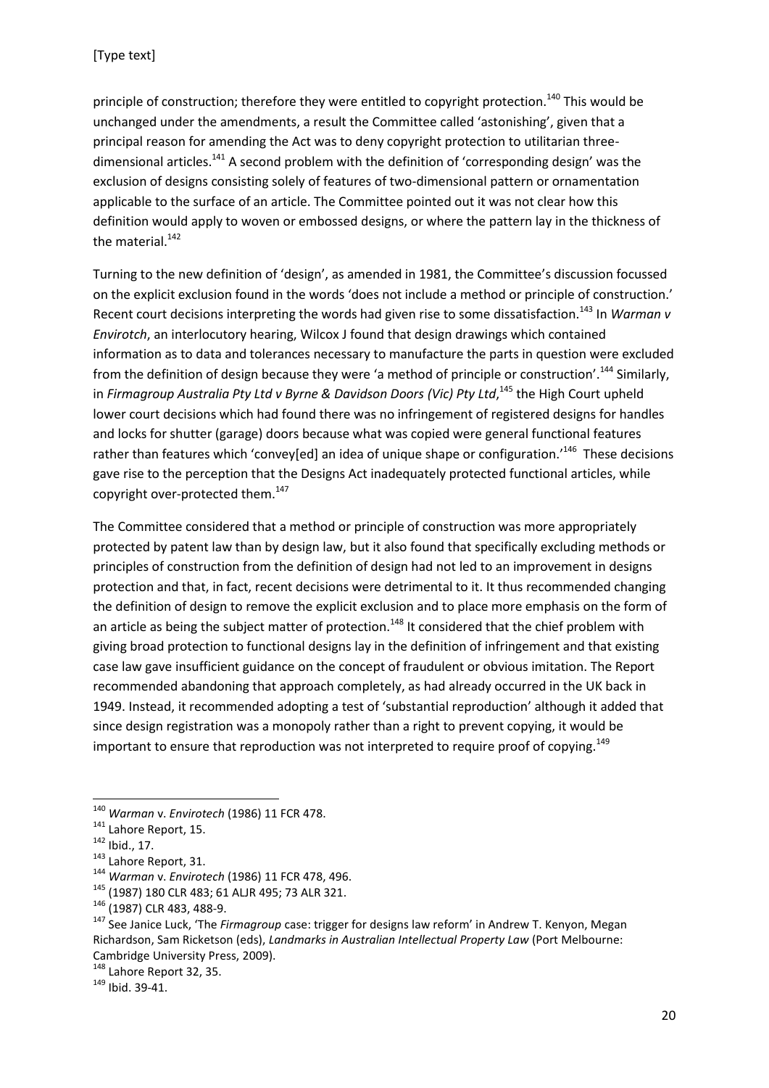principle of construction; therefore they were entitled to copyright protection.<sup>140</sup> This would be unchanged under the amendments, a result the Committee called 'astonishing', given that a principal reason for amending the Act was to deny copyright protection to utilitarian threedimensional articles.<sup>141</sup> A second problem with the definition of 'corresponding design' was the exclusion of designs consisting solely of features of two-dimensional pattern or ornamentation applicable to the surface of an article. The Committee pointed out it was not clear how this definition would apply to woven or embossed designs, or where the pattern lay in the thickness of the material.<sup>142</sup>

Turning to the new definition of 'design', as amended in 1981, the Committee's discussion focussed on the explicit exclusion found in the words 'does not include a method or principle of construction.' Recent court decisions interpreting the words had given rise to some dissatisfaction.<sup>143</sup> In *Warman v Envirotch*, an interlocutory hearing, Wilcox J found that design drawings which contained information as to data and tolerances necessary to manufacture the parts in question were excluded from the definition of design because they were 'a method of principle or construction'.<sup>144</sup> Similarly, in *Firmagroup Australia Pty Ltd v Byrne & Davidson Doors (Vic) Pty Ltd*, <sup>145</sup> the High Court upheld lower court decisions which had found there was no infringement of registered designs for handles and locks for shutter (garage) doors because what was copied were general functional features rather than features which 'convey[ed] an idea of unique shape or configuration.'<sup>146</sup> These decisions gave rise to the perception that the Designs Act inadequately protected functional articles, while copyright over-protected them.<sup>147</sup>

The Committee considered that a method or principle of construction was more appropriately protected by patent law than by design law, but it also found that specifically excluding methods or principles of construction from the definition of design had not led to an improvement in designs protection and that, in fact, recent decisions were detrimental to it. It thus recommended changing the definition of design to remove the explicit exclusion and to place more emphasis on the form of an article as being the subject matter of protection.<sup>148</sup> It considered that the chief problem with giving broad protection to functional designs lay in the definition of infringement and that existing case law gave insufficient guidance on the concept of fraudulent or obvious imitation. The Report recommended abandoning that approach completely, as had already occurred in the UK back in 1949. Instead, it recommended adopting a test of 'substantial reproduction' although it added that since design registration was a monopoly rather than a right to prevent copying, it would be important to ensure that reproduction was not interpreted to require proof of copying.<sup>149</sup>

**.** 

148 Lahore Report 32, 35.

<sup>149</sup> Ibid. 39-41.

<sup>140</sup> *Warman* v. *Envirotech* (1986) 11 FCR 478.

<sup>&</sup>lt;sup>141</sup> Lahore Report, 15.

<sup>142</sup> Ibid., 17.

<sup>&</sup>lt;sup>143</sup> Lahore Report, 31.

<sup>144</sup> *Warman* v. *Envirotech* (1986) 11 FCR 478, 496.

<sup>145</sup> (1987) 180 CLR 483; 61 ALJR 495; 73 ALR 321.

<sup>146 (1987)</sup> CLR 483, 488-9.

<sup>147</sup> See Janice Luck, 'The *Firmagroup* case: trigger for designs law reform' in Andrew T. Kenyon, Megan Richardson, Sam Ricketson (eds), *Landmarks in Australian Intellectual Property Law* (Port Melbourne: Cambridge University Press, 2009).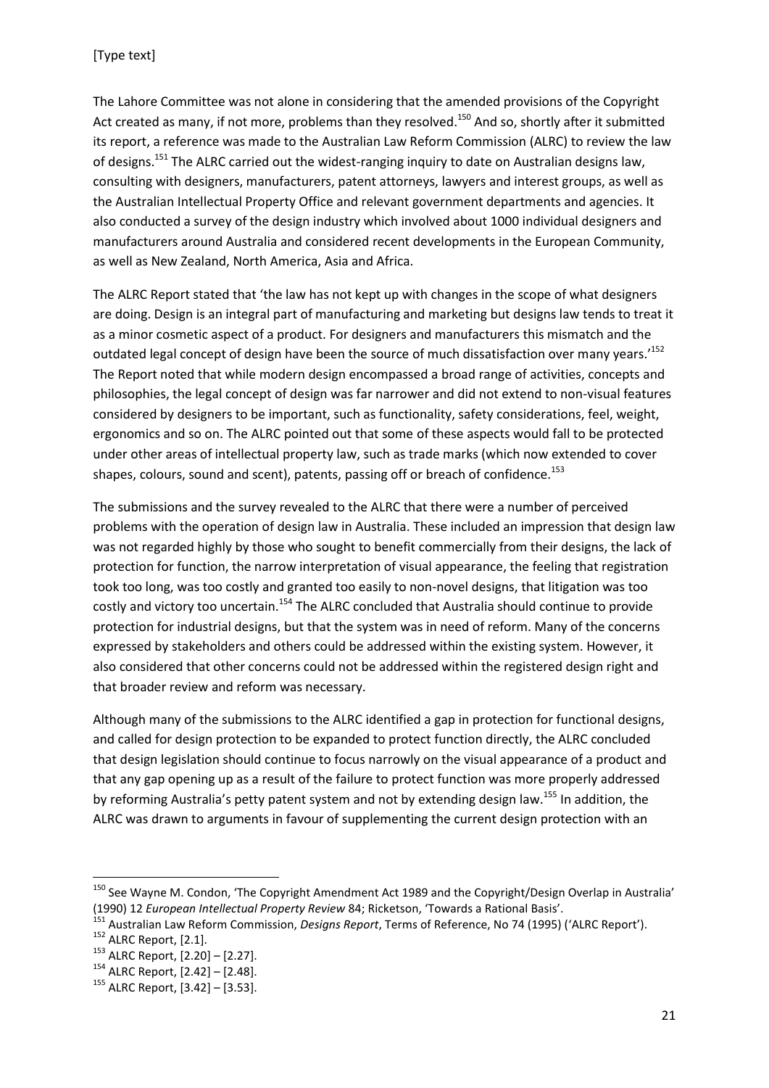The Lahore Committee was not alone in considering that the amended provisions of the Copyright Act created as many, if not more, problems than they resolved.<sup>150</sup> And so, shortly after it submitted its report, a reference was made to the Australian Law Reform Commission (ALRC) to review the law of designs.<sup>151</sup> The ALRC carried out the widest-ranging inquiry to date on Australian designs law, consulting with designers, manufacturers, patent attorneys, lawyers and interest groups, as well as the Australian Intellectual Property Office and relevant government departments and agencies. It also conducted a survey of the design industry which involved about 1000 individual designers and manufacturers around Australia and considered recent developments in the European Community, as well as New Zealand, North America, Asia and Africa.

The ALRC Report stated that 'the law has not kept up with changes in the scope of what designers are doing. Design is an integral part of manufacturing and marketing but designs law tends to treat it as a minor cosmetic aspect of a product. For designers and manufacturers this mismatch and the outdated legal concept of design have been the source of much dissatisfaction over many years.<sup>152</sup> The Report noted that while modern design encompassed a broad range of activities, concepts and philosophies, the legal concept of design was far narrower and did not extend to non-visual features considered by designers to be important, such as functionality, safety considerations, feel, weight, ergonomics and so on. The ALRC pointed out that some of these aspects would fall to be protected under other areas of intellectual property law, such as trade marks (which now extended to cover shapes, colours, sound and scent), patents, passing off or breach of confidence.<sup>153</sup>

The submissions and the survey revealed to the ALRC that there were a number of perceived problems with the operation of design law in Australia. These included an impression that design law was not regarded highly by those who sought to benefit commercially from their designs, the lack of protection for function, the narrow interpretation of visual appearance, the feeling that registration took too long, was too costly and granted too easily to non-novel designs, that litigation was too costly and victory too uncertain.<sup>154</sup> The ALRC concluded that Australia should continue to provide protection for industrial designs, but that the system was in need of reform. Many of the concerns expressed by stakeholders and others could be addressed within the existing system. However, it also considered that other concerns could not be addressed within the registered design right and that broader review and reform was necessary.

Although many of the submissions to the ALRC identified a gap in protection for functional designs, and called for design protection to be expanded to protect function directly, the ALRC concluded that design legislation should continue to focus narrowly on the visual appearance of a product and that any gap opening up as a result of the failure to protect function was more properly addressed by reforming Australia's petty patent system and not by extending design law.<sup>155</sup> In addition, the ALRC was drawn to arguments in favour of supplementing the current design protection with an

 $\overline{a}$ 

<sup>&</sup>lt;sup>150</sup> See Wayne M. Condon, 'The Copyright Amendment Act 1989 and the Copyright/Design Overlap in Australia' (1990) 12 *European Intellectual Property Review* 84; Ricketson, 'Towards a Rational Basis'.

<sup>151</sup> Australian Law Reform Commission, *Designs Report*, Terms of Reference, No 74 (1995) ('ALRC Report').

<sup>&</sup>lt;sup>152</sup> ALRC Report, [2.1].

<sup>153</sup> ALRC Report, [2.20] – [2.27].

<sup>154</sup> ALRC Report, [2.42] – [2.48].

<sup>155</sup> ALRC Report, [3.42] – [3.53].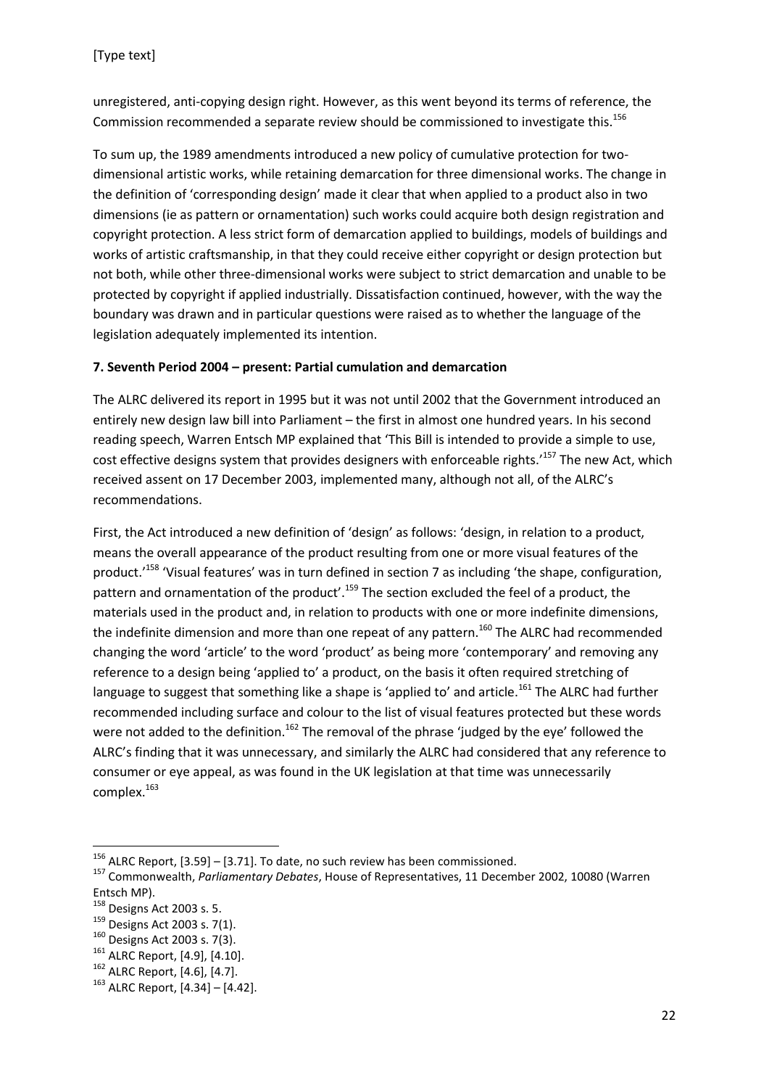unregistered, anti-copying design right. However, as this went beyond its terms of reference, the Commission recommended a separate review should be commissioned to investigate this.<sup>156</sup>

To sum up, the 1989 amendments introduced a new policy of cumulative protection for twodimensional artistic works, while retaining demarcation for three dimensional works. The change in the definition of 'corresponding design' made it clear that when applied to a product also in two dimensions (ie as pattern or ornamentation) such works could acquire both design registration and copyright protection. A less strict form of demarcation applied to buildings, models of buildings and works of artistic craftsmanship, in that they could receive either copyright or design protection but not both, while other three-dimensional works were subject to strict demarcation and unable to be protected by copyright if applied industrially. Dissatisfaction continued, however, with the way the boundary was drawn and in particular questions were raised as to whether the language of the legislation adequately implemented its intention.

# **7. Seventh Period 2004 – present: Partial cumulation and demarcation**

The ALRC delivered its report in 1995 but it was not until 2002 that the Government introduced an entirely new design law bill into Parliament – the first in almost one hundred years. In his second reading speech, Warren Entsch MP explained that 'This Bill is intended to provide a simple to use, cost effective designs system that provides designers with enforceable rights.<sup>'157</sup> The new Act, which received assent on 17 December 2003, implemented many, although not all, of the ALRC's recommendations.

First, the Act introduced a new definition of 'design' as follows: 'design, in relation to a product, means the overall appearance of the product resulting from one or more visual features of the product.<sup>158</sup> 'Visual features' was in turn defined in section 7 as including 'the shape, configuration, pattern and ornamentation of the product'.<sup>159</sup> The section excluded the feel of a product, the materials used in the product and, in relation to products with one or more indefinite dimensions, the indefinite dimension and more than one repeat of any pattern.<sup>160</sup> The ALRC had recommended changing the word 'article' to the word 'product' as being more 'contemporary' and removing any reference to a design being 'applied to' a product, on the basis it often required stretching of language to suggest that something like a shape is 'applied to' and article.<sup>161</sup> The ALRC had further recommended including surface and colour to the list of visual features protected but these words were not added to the definition.<sup>162</sup> The removal of the phrase 'judged by the eye' followed the ALRC's finding that it was unnecessary, and similarly the ALRC had considered that any reference to consumer or eye appeal, as was found in the UK legislation at that time was unnecessarily complex.<sup>163</sup>

 $\overline{a}$  $156$  ALRC Report, [3.59] – [3.71]. To date, no such review has been commissioned.

<sup>157</sup> Commonwealth, *Parliamentary Debates*, House of Representatives, 11 December 2002, 10080 (Warren Entsch MP).

<sup>&</sup>lt;sup>158</sup> Designs Act 2003 s. 5.

<sup>159</sup> Designs Act 2003 s. 7(1).

<sup>160</sup> Designs Act 2003 s. 7(3).

<sup>&</sup>lt;sup>161</sup> ALRC Report, [4.9], [4.10].

<sup>162</sup> ALRC Report, [4.6], [4.7].

<sup>163</sup> ALRC Report, [4.34] – [4.42].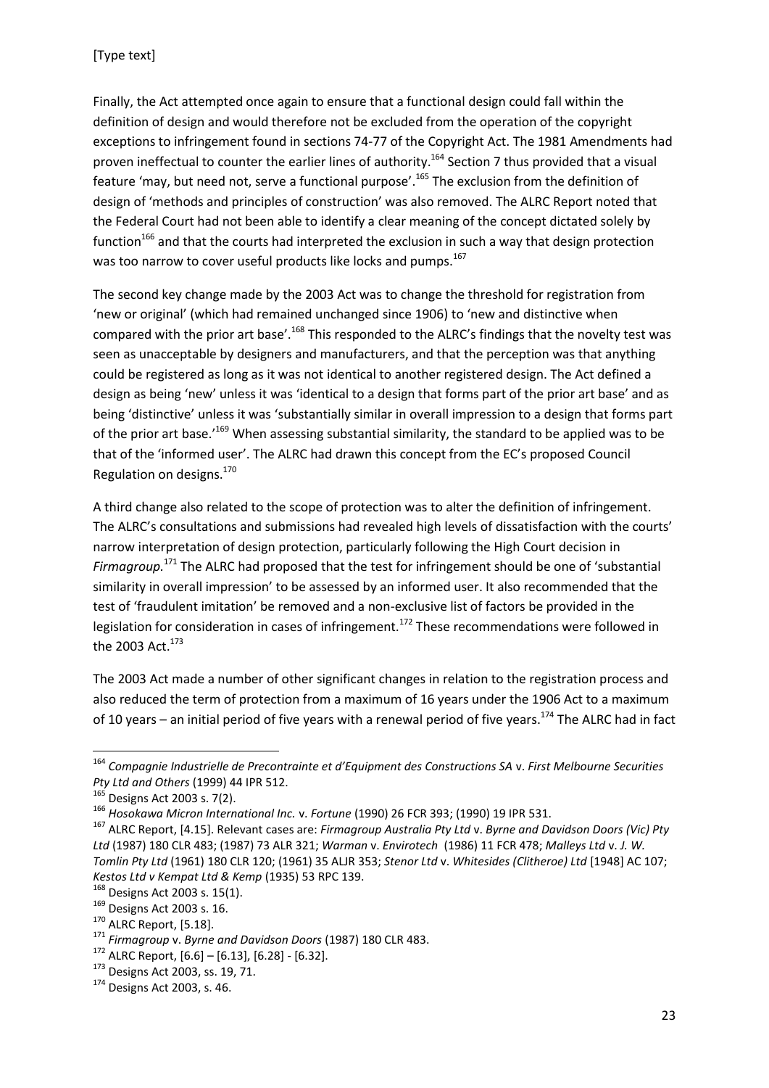Finally, the Act attempted once again to ensure that a functional design could fall within the definition of design and would therefore not be excluded from the operation of the copyright exceptions to infringement found in sections 74-77 of the Copyright Act. The 1981 Amendments had proven ineffectual to counter the earlier lines of authority. <sup>164</sup> Section 7 thus provided that a visual feature 'may, but need not, serve a functional purpose'.<sup>165</sup> The exclusion from the definition of design of 'methods and principles of construction' was also removed. The ALRC Report noted that the Federal Court had not been able to identify a clear meaning of the concept dictated solely by function<sup>166</sup> and that the courts had interpreted the exclusion in such a way that design protection was too narrow to cover useful products like locks and pumps.<sup>167</sup>

The second key change made by the 2003 Act was to change the threshold for registration from 'new or original' (which had remained unchanged since 1906) to 'new and distinctive when compared with the prior art base'.<sup>168</sup> This responded to the ALRC's findings that the novelty test was seen as unacceptable by designers and manufacturers, and that the perception was that anything could be registered as long as it was not identical to another registered design. The Act defined a design as being 'new' unless it was 'identical to a design that forms part of the prior art base' and as being 'distinctive' unless it was 'substantially similar in overall impression to a design that forms part of the prior art base.'<sup>169</sup> When assessing substantial similarity, the standard to be applied was to be that of the 'informed user'. The ALRC had drawn this concept from the EC's proposed Council Regulation on designs.<sup>170</sup>

A third change also related to the scope of protection was to alter the definition of infringement. The ALRC's consultations and submissions had revealed high levels of dissatisfaction with the courts' narrow interpretation of design protection, particularly following the High Court decision in *Firmagroup.*<sup>171</sup> The ALRC had proposed that the test for infringement should be one of 'substantial similarity in overall impression' to be assessed by an informed user. It also recommended that the test of 'fraudulent imitation' be removed and a non-exclusive list of factors be provided in the legislation for consideration in cases of infringement.<sup>172</sup> These recommendations were followed in the 2003 Act.<sup>173</sup>

The 2003 Act made a number of other significant changes in relation to the registration process and also reduced the term of protection from a maximum of 16 years under the 1906 Act to a maximum of 10 years – an initial period of five years with a renewal period of five years.<sup>174</sup> The ALRC had in fact

<sup>164</sup> *Compagnie Industrielle de Precontrainte et d'Equipment des Constructions SA* v. *First Melbourne Securities Pty Ltd and Others* (1999) 44 IPR 512.

Designs Act 2003 s. 7(2).

<sup>166</sup> *Hosokawa Micron International Inc.* v. *Fortune* (1990) 26 FCR 393; (1990) 19 IPR 531.

<sup>167</sup> ALRC Report, [4.15]. Relevant cases are: *Firmagroup Australia Pty Ltd* v. *Byrne and Davidson Doors (Vic) Pty Ltd* (1987) 180 CLR 483; (1987) 73 ALR 321; *Warman* v. *Envirotech* (1986) 11 FCR 478; *Malleys Ltd* v. *J. W. Tomlin Pty Ltd* (1961) 180 CLR 120; (1961) 35 ALJR 353; *Stenor Ltd* v. *Whitesides (Clitheroe) Ltd* [1948] AC 107; *Kestos Ltd v Kempat Ltd & Kemp* (1935) 53 RPC 139.

<sup>168</sup> Designs Act 2003 s. 15(1).

<sup>169</sup> Designs Act 2003 s. 16.

 $170$  ALRC Report, [5.18].

<sup>171</sup> *Firmagroup* v. *Byrne and Davidson Doors* (1987) 180 CLR 483.

 $172$  ALRC Report,  $[6.6] - [6.13]$ ,  $[6.28] - [6.32]$ .

<sup>173</sup> Designs Act 2003, ss. 19, 71.

<sup>174</sup> Designs Act 2003, s. 46.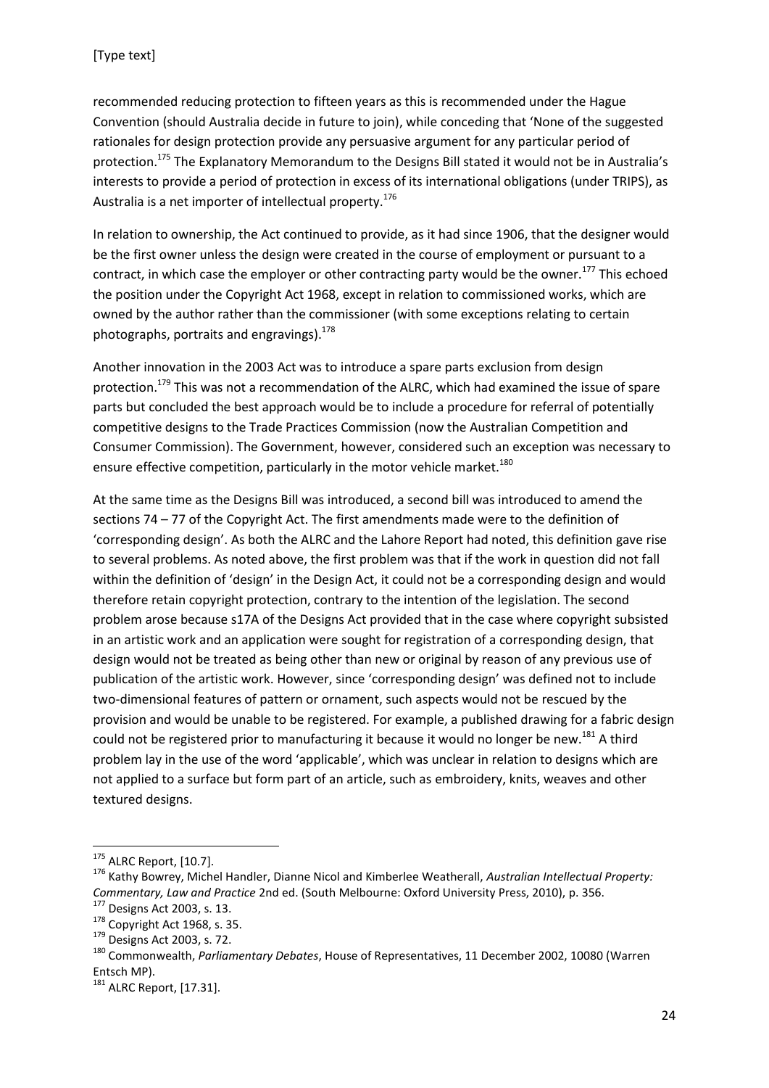recommended reducing protection to fifteen years as this is recommended under the Hague Convention (should Australia decide in future to join), while conceding that 'None of the suggested rationales for design protection provide any persuasive argument for any particular period of protection.<sup>175</sup> The Explanatory Memorandum to the Designs Bill stated it would not be in Australia's interests to provide a period of protection in excess of its international obligations (under TRIPS), as Australia is a net importer of intellectual property.<sup>176</sup>

In relation to ownership, the Act continued to provide, as it had since 1906, that the designer would be the first owner unless the design were created in the course of employment or pursuant to a contract, in which case the employer or other contracting party would be the owner.<sup>177</sup> This echoed the position under the Copyright Act 1968, except in relation to commissioned works, which are owned by the author rather than the commissioner (with some exceptions relating to certain photographs, portraits and engravings). $178$ 

Another innovation in the 2003 Act was to introduce a spare parts exclusion from design protection.<sup>179</sup> This was not a recommendation of the ALRC, which had examined the issue of spare parts but concluded the best approach would be to include a procedure for referral of potentially competitive designs to the Trade Practices Commission (now the Australian Competition and Consumer Commission). The Government, however, considered such an exception was necessary to ensure effective competition, particularly in the motor vehicle market.<sup>180</sup>

At the same time as the Designs Bill was introduced, a second bill was introduced to amend the sections 74 – 77 of the Copyright Act. The first amendments made were to the definition of 'corresponding design'. As both the ALRC and the Lahore Report had noted, this definition gave rise to several problems. As noted above, the first problem was that if the work in question did not fall within the definition of 'design' in the Design Act, it could not be a corresponding design and would therefore retain copyright protection, contrary to the intention of the legislation. The second problem arose because s17A of the Designs Act provided that in the case where copyright subsisted in an artistic work and an application were sought for registration of a corresponding design, that design would not be treated as being other than new or original by reason of any previous use of publication of the artistic work. However, since 'corresponding design' was defined not to include two-dimensional features of pattern or ornament, such aspects would not be rescued by the provision and would be unable to be registered. For example, a published drawing for a fabric design could not be registered prior to manufacturing it because it would no longer be new.<sup>181</sup> A third problem lay in the use of the word 'applicable', which was unclear in relation to designs which are not applied to a surface but form part of an article, such as embroidery, knits, weaves and other textured designs.

 $\overline{a}$ 

 $175$  ALRC Report, [10.7].

<sup>176</sup> Kathy Bowrey, Michel Handler, Dianne Nicol and Kimberlee Weatherall, *Australian Intellectual Property: Commentary, Law and Practice* 2nd ed. (South Melbourne: Oxford University Press, 2010), p. 356.

<sup>&</sup>lt;sup>177</sup> Designs Act 2003, s. 13.

 $178$  Copyright Act 1968, s. 35.

<sup>179</sup> Designs Act 2003, s. 72.

<sup>180</sup> Commonwealth, *Parliamentary Debates*, House of Representatives, 11 December 2002, 10080 (Warren Entsch MP).

<sup>&</sup>lt;sup>181</sup> ALRC Report, [17.31].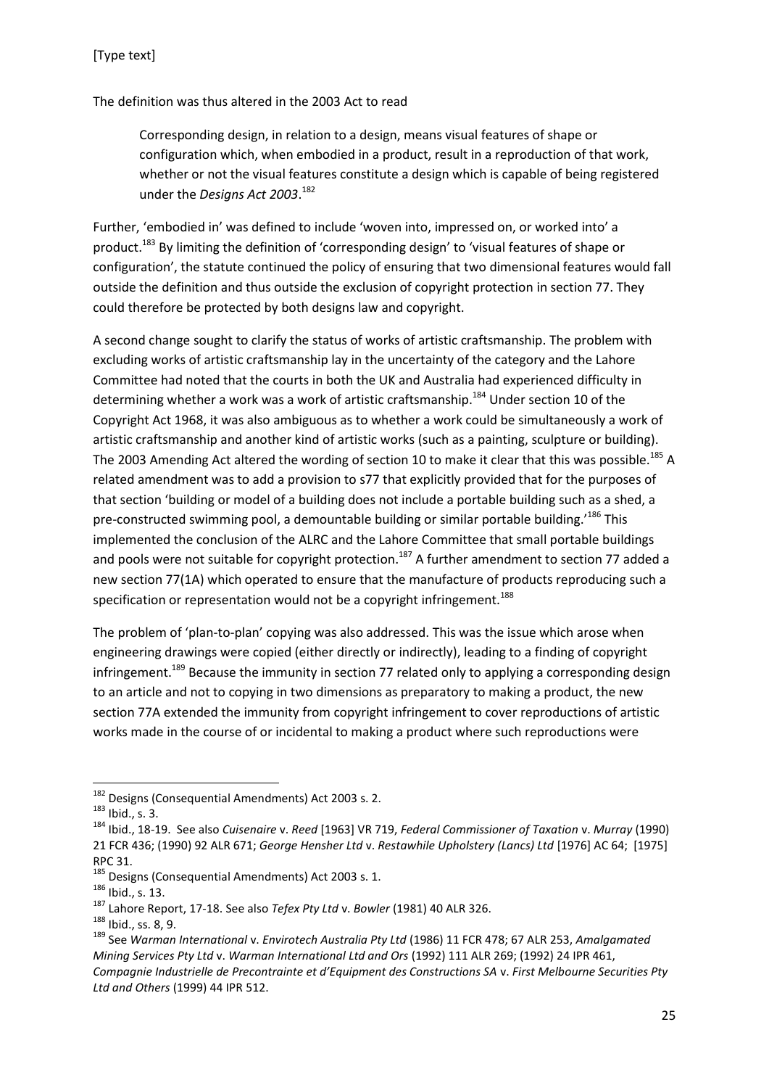# [Type text]

The definition was thus altered in the 2003 Act to read

Corresponding design, in relation to a design, means visual features of shape or configuration which, when embodied in a product, result in a reproduction of that work, whether or not the visual features constitute a design which is capable of being registered under the *Designs Act 2003*. 182

Further, 'embodied in' was defined to include 'woven into, impressed on, or worked into' a product.<sup>183</sup> By limiting the definition of 'corresponding design' to 'visual features of shape or configuration', the statute continued the policy of ensuring that two dimensional features would fall outside the definition and thus outside the exclusion of copyright protection in section 77. They could therefore be protected by both designs law and copyright.

A second change sought to clarify the status of works of artistic craftsmanship. The problem with excluding works of artistic craftsmanship lay in the uncertainty of the category and the Lahore Committee had noted that the courts in both the UK and Australia had experienced difficulty in determining whether a work was a work of artistic craftsmanship.<sup>184</sup> Under section 10 of the Copyright Act 1968, it was also ambiguous as to whether a work could be simultaneously a work of artistic craftsmanship and another kind of artistic works (such as a painting, sculpture or building). The 2003 Amending Act altered the wording of section 10 to make it clear that this was possible.<sup>185</sup> A related amendment was to add a provision to s77 that explicitly provided that for the purposes of that section 'building or model of a building does not include a portable building such as a shed, a pre-constructed swimming pool, a demountable building or similar portable building.<sup>186</sup> This implemented the conclusion of the ALRC and the Lahore Committee that small portable buildings and pools were not suitable for copyright protection.<sup>187</sup> A further amendment to section 77 added a new section 77(1A) which operated to ensure that the manufacture of products reproducing such a specification or representation would not be a copyright infringement.<sup>188</sup>

The problem of 'plan-to-plan' copying was also addressed. This was the issue which arose when engineering drawings were copied (either directly or indirectly), leading to a finding of copyright infringement.<sup>189</sup> Because the immunity in section 77 related only to applying a corresponding design to an article and not to copying in two dimensions as preparatory to making a product, the new section 77A extended the immunity from copyright infringement to cover reproductions of artistic works made in the course of or incidental to making a product where such reproductions were

1

<sup>&</sup>lt;sup>182</sup> Designs (Consequential Amendments) Act 2003 s. 2.

<sup>183</sup> Ibid., s. 3.

<sup>184</sup> Ibid., 18-19. See also *Cuisenaire* v. *Reed* [1963] VR 719, *Federal Commissioner of Taxation* v. *Murray* (1990) 21 FCR 436; (1990) 92 ALR 671; *George Hensher Ltd* v. *Restawhile Upholstery (Lancs) Ltd* [1976] AC 64; [1975] RPC 31.

<sup>&</sup>lt;sup>185</sup> Designs (Consequential Amendments) Act 2003 s. 1.

<sup>186</sup> Ibid., s. 13.

<sup>187</sup> Lahore Report, 17-18. See also *Tefex Pty Ltd* v. *Bowler* (1981) 40 ALR 326.

<sup>188</sup> Ibid., ss. 8, 9.

<sup>189</sup> See *Warman International* v. *Envirotech Australia Pty Ltd* (1986) 11 FCR 478; 67 ALR 253, *Amalgamated Mining Services Pty Ltd* v. *Warman International Ltd and Ors* (1992) 111 ALR 269; (1992) 24 IPR 461, *Compagnie Industrielle de Precontrainte et d'Equipment des Constructions SA* v. *First Melbourne Securities Pty Ltd and Others* (1999) 44 IPR 512.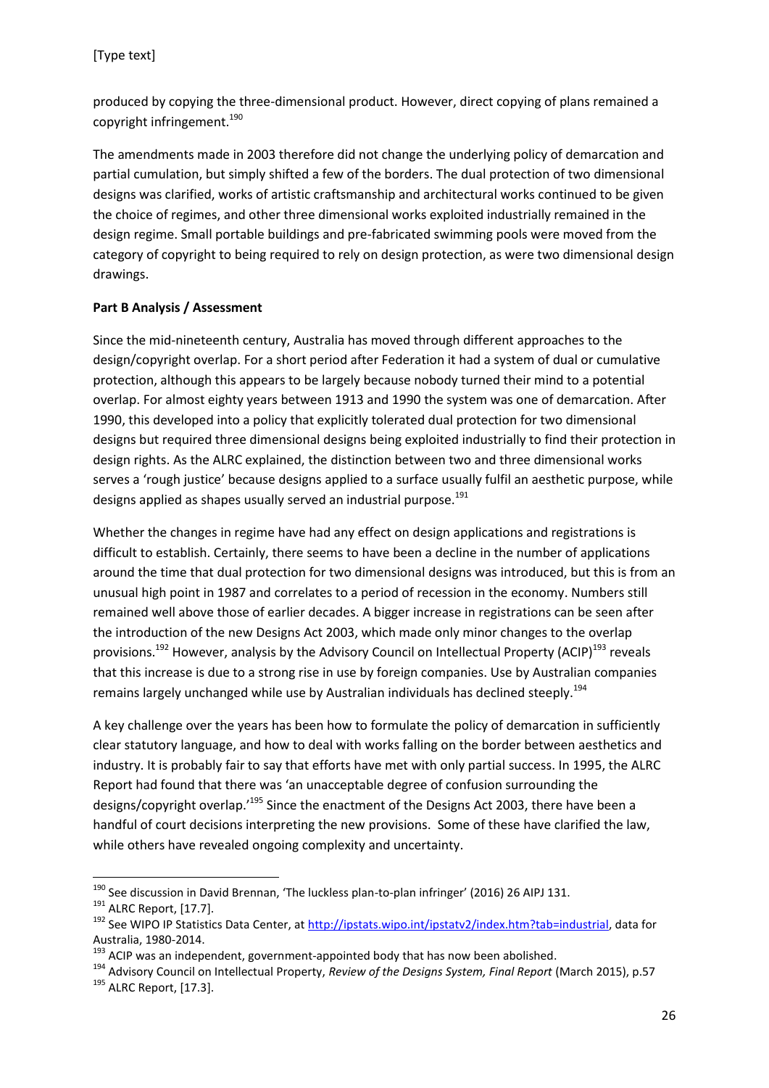produced by copying the three-dimensional product. However, direct copying of plans remained a copyright infringement.<sup>190</sup>

The amendments made in 2003 therefore did not change the underlying policy of demarcation and partial cumulation, but simply shifted a few of the borders. The dual protection of two dimensional designs was clarified, works of artistic craftsmanship and architectural works continued to be given the choice of regimes, and other three dimensional works exploited industrially remained in the design regime. Small portable buildings and pre-fabricated swimming pools were moved from the category of copyright to being required to rely on design protection, as were two dimensional design drawings.

# **Part B Analysis / Assessment**

Since the mid-nineteenth century, Australia has moved through different approaches to the design/copyright overlap. For a short period after Federation it had a system of dual or cumulative protection, although this appears to be largely because nobody turned their mind to a potential overlap. For almost eighty years between 1913 and 1990 the system was one of demarcation. After 1990, this developed into a policy that explicitly tolerated dual protection for two dimensional designs but required three dimensional designs being exploited industrially to find their protection in design rights. As the ALRC explained, the distinction between two and three dimensional works serves a 'rough justice' because designs applied to a surface usually fulfil an aesthetic purpose, while designs applied as shapes usually served an industrial purpose.<sup>191</sup>

Whether the changes in regime have had any effect on design applications and registrations is difficult to establish. Certainly, there seems to have been a decline in the number of applications around the time that dual protection for two dimensional designs was introduced, but this is from an unusual high point in 1987 and correlates to a period of recession in the economy. Numbers still remained well above those of earlier decades. A bigger increase in registrations can be seen after the introduction of the new Designs Act 2003, which made only minor changes to the overlap provisions.<sup>192</sup> However, analysis by the Advisory Council on Intellectual Property (ACIP)<sup>193</sup> reveals that this increase is due to a strong rise in use by foreign companies. Use by Australian companies remains largely unchanged while use by Australian individuals has declined steeply.<sup>194</sup>

A key challenge over the years has been how to formulate the policy of demarcation in sufficiently clear statutory language, and how to deal with works falling on the border between aesthetics and industry. It is probably fair to say that efforts have met with only partial success. In 1995, the ALRC Report had found that there was 'an unacceptable degree of confusion surrounding the designs/copyright overlap.<sup>195</sup> Since the enactment of the Designs Act 2003, there have been a handful of court decisions interpreting the new provisions. Some of these have clarified the law, while others have revealed ongoing complexity and uncertainty.

 $\overline{a}$ 

 $190$  See discussion in David Brennan, 'The luckless plan-to-plan infringer' (2016) 26 AIPJ 131.

<sup>&</sup>lt;sup>191</sup> ALRC Report, [17.7].

<sup>&</sup>lt;sup>192</sup> See WIPO IP Statistics Data Center, a[t http://ipstats.wipo.int/ipstatv2/index.htm?tab=industrial,](http://ipstats.wipo.int/ipstatv2/index.htm?tab=industrial) data for Australia, 1980-2014.

 $193$  ACIP was an independent, government-appointed body that has now been abolished.

<sup>194</sup> Advisory Council on Intellectual Property, *Review of the Designs System, Final Report* (March 2015), p.57

<sup>195</sup> ALRC Report, [17.3].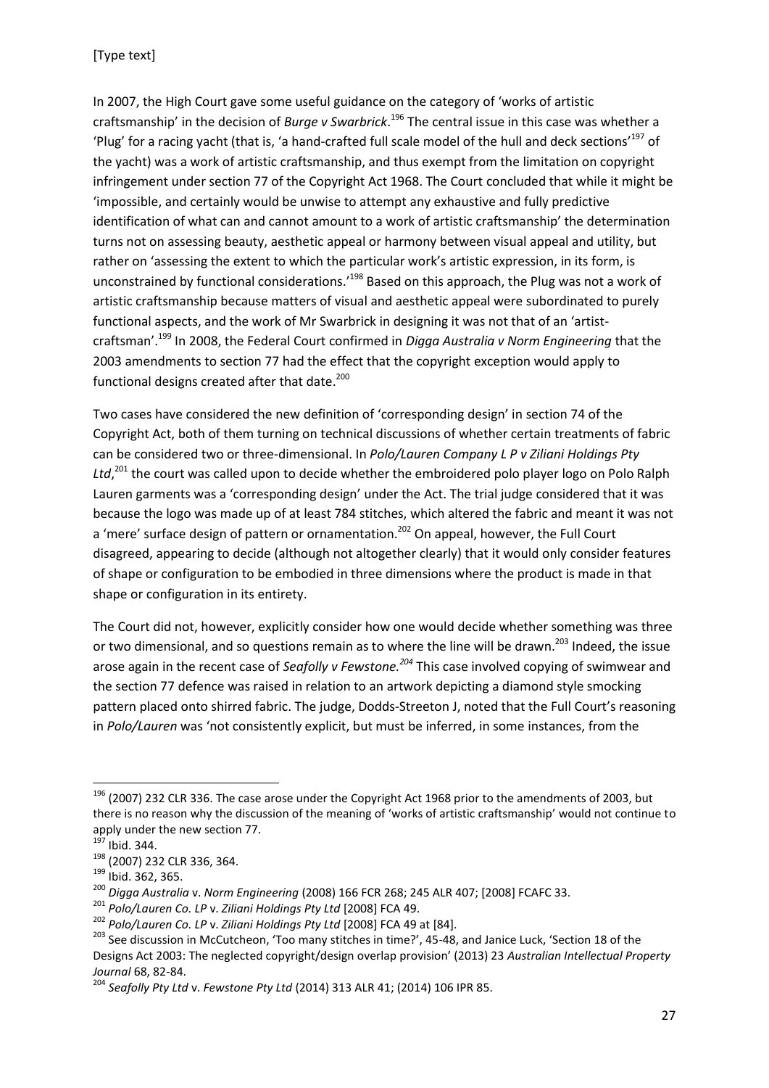In 2007, the High Court gave some useful guidance on the category of 'works of artistic craftsmanship' in the decision of *Burge v Swarbrick*. <sup>196</sup> The central issue in this case was whether a 'Plug' for a racing yacht (that is, 'a hand-crafted full scale model of the hull and deck sections'<sup>197</sup> of the yacht) was a work of artistic craftsmanship, and thus exempt from the limitation on copyright infringement under section 77 of the Copyright Act 1968. The Court concluded that while it might be 'impossible, and certainly would be unwise to attempt any exhaustive and fully predictive identification of what can and cannot amount to a work of artistic craftsmanship' the determination turns not on assessing beauty, aesthetic appeal or harmony between visual appeal and utility, but rather on 'assessing the extent to which the particular work's artistic expression, in its form, is unconstrained by functional considerations.'<sup>198</sup> Based on this approach, the Plug was not a work of artistic craftsmanship because matters of visual and aesthetic appeal were subordinated to purely functional aspects, and the work of Mr Swarbrick in designing it was not that of an 'artistcraftsman'.<sup>199</sup> In 2008, the Federal Court confirmed in *Digga Australia v Norm Engineering* that the 2003 amendments to section 77 had the effect that the copyright exception would apply to functional designs created after that date. $200$ 

Two cases have considered the new definition of 'corresponding design' in section 74 of the Copyright Act, both of them turning on technical discussions of whether certain treatments of fabric can be considered two or three-dimensional. In *Polo/Lauren Company L P v Ziliani Holdings Pty*  Ltd,<sup>201</sup> the court was called upon to decide whether the embroidered polo player logo on Polo Ralph Lauren garments was a 'corresponding design' under the Act. The trial judge considered that it was because the logo was made up of at least 784 stitches, which altered the fabric and meant it was not a 'mere' surface design of pattern or ornamentation.<sup>202</sup> On appeal, however, the Full Court disagreed, appearing to decide (although not altogether clearly) that it would only consider features of shape or configuration to be embodied in three dimensions where the product is made in that shape or configuration in its entirety.

The Court did not, however, explicitly consider how one would decide whether something was three or two dimensional, and so questions remain as to where the line will be drawn.<sup>203</sup> Indeed, the issue arose again in the recent case of *Seafolly v Fewstone.<sup>204</sup>* This case involved copying of swimwear and the section 77 defence was raised in relation to an artwork depicting a diamond style smocking pattern placed onto shirred fabric. The judge, Dodds-Streeton J, noted that the Full Court's reasoning in *Polo/Lauren* was 'not consistently explicit, but must be inferred, in some instances, from the

1

<sup>&</sup>lt;sup>196</sup> (2007) 232 CLR 336. The case arose under the Copyright Act 1968 prior to the amendments of 2003, but there is no reason why the discussion of the meaning of 'works of artistic craftsmanship' would not continue to apply under the new section 77.

 $^7$  Ibid. 344.

<sup>198 (2007) 232</sup> CLR 336, 364.

<sup>&</sup>lt;sup>199</sup> Ibid. 362, 365.

<sup>200</sup> *Digga Australia* v. *Norm Engineering* (2008) 166 FCR 268; 245 ALR 407; [2008] FCAFC 33.

<sup>201</sup> *Polo/Lauren Co. LP* v. *Ziliani Holdings Pty Ltd* [2008] FCA 49.

<sup>202</sup> *Polo/Lauren Co. LP* v. *Ziliani Holdings Pty Ltd* [2008] FCA 49 at [84].

<sup>&</sup>lt;sup>203</sup> See discussion in McCutcheon, 'Too many stitches in time?', 45-48, and Janice Luck, 'Section 18 of the Designs Act 2003: The neglected copyright/design overlap provision' (2013) 23 *Australian Intellectual Property Journal* 68, 82-84.

<sup>204</sup> *Seafolly Pty Ltd* v. *Fewstone Pty Ltd* (2014) 313 ALR 41; (2014) 106 IPR 85.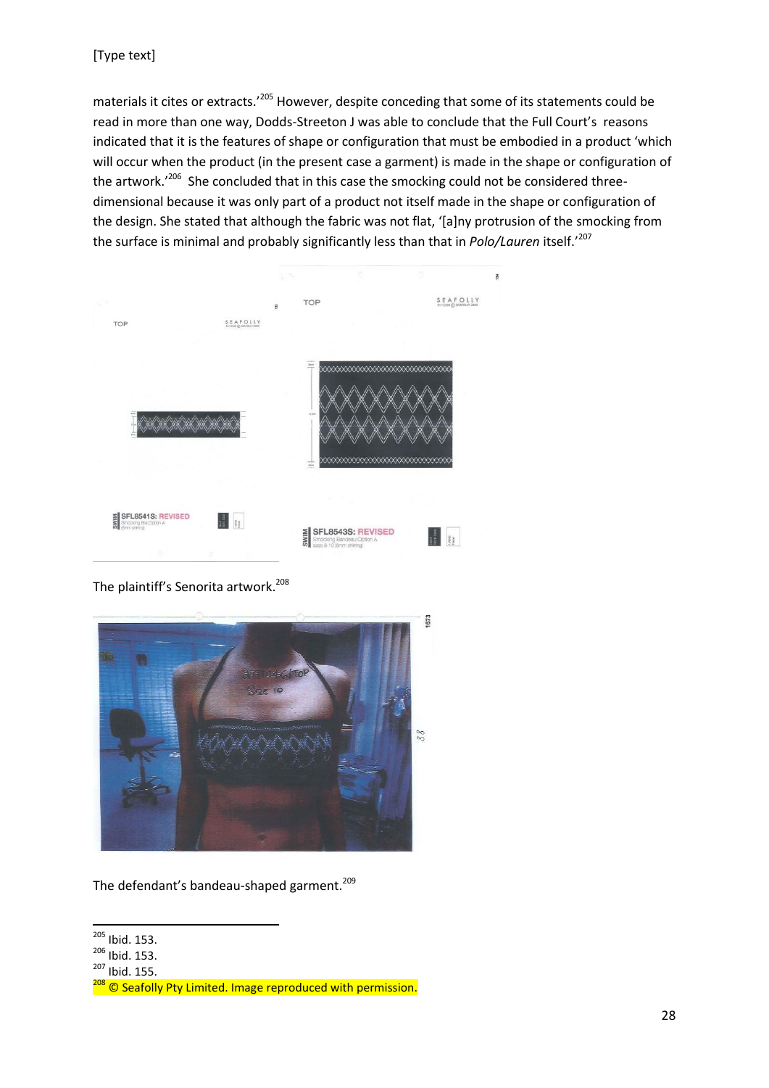# [Type text]

materials it cites or extracts.<sup>'205</sup> However, despite conceding that some of its statements could be read in more than one way, Dodds-Streeton J was able to conclude that the Full Court's reasons indicated that it is the features of shape or configuration that must be embodied in a product 'which will occur when the product (in the present case a garment) is made in the shape or configuration of the artwork.<sup>206</sup> She concluded that in this case the smocking could not be considered threedimensional because it was only part of a product not itself made in the shape or configuration of the design. She stated that although the fabric was not flat, '[a]ny protrusion of the smocking from the surface is minimal and probably significantly less than that in *Polo/Lauren* itself.'<sup>207</sup>



The plaintiff's Senorita artwork.<sup>208</sup>



The defendant's bandeau-shaped garment.<sup>209</sup>

**<sup>.</sup>** <sup>205</sup> Ibid. 153.

 $^{206}$  Ibid. 153.

 $^{207}$  Ibid. 155.

<sup>&</sup>lt;sup>208</sup> © Seafolly Pty Limited. Image reproduced with permission.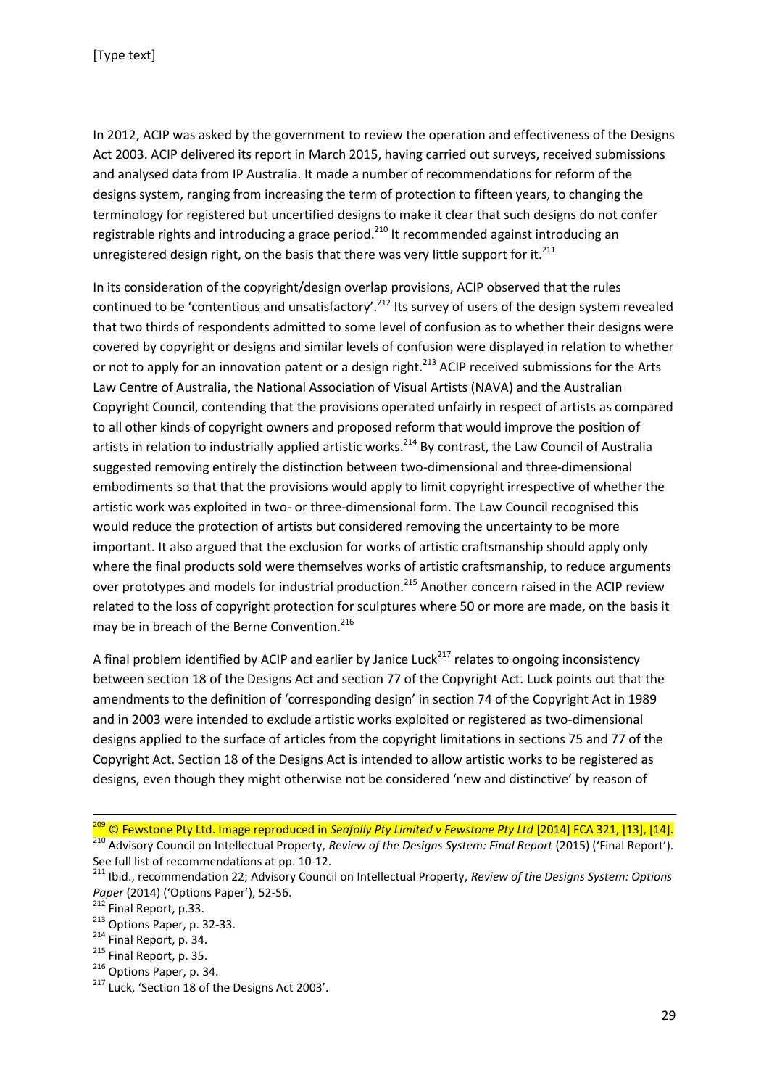In 2012, ACIP was asked by the government to review the operation and effectiveness of the Designs Act 2003. ACIP delivered its report in March 2015, having carried out surveys, received submissions and analysed data from IP Australia. It made a number of recommendations for reform of the designs system, ranging from increasing the term of protection to fifteen years, to changing the terminology for registered but uncertified designs to make it clear that such designs do not confer registrable rights and introducing a grace period.<sup>210</sup> It recommended against introducing an unregistered design right, on the basis that there was very little support for it.<sup>211</sup>

In its consideration of the copyright/design overlap provisions, ACIP observed that the rules continued to be 'contentious and unsatisfactory'.<sup>212</sup> Its survey of users of the design system revealed that two thirds of respondents admitted to some level of confusion as to whether their designs were covered by copyright or designs and similar levels of confusion were displayed in relation to whether or not to apply for an innovation patent or a design right.<sup>213</sup> ACIP received submissions for the Arts Law Centre of Australia, the National Association of Visual Artists (NAVA) and the Australian Copyright Council, contending that the provisions operated unfairly in respect of artists as compared to all other kinds of copyright owners and proposed reform that would improve the position of artists in relation to industrially applied artistic works.<sup>214</sup> By contrast, the Law Council of Australia suggested removing entirely the distinction between two-dimensional and three-dimensional embodiments so that that the provisions would apply to limit copyright irrespective of whether the artistic work was exploited in two- or three-dimensional form. The Law Council recognised this would reduce the protection of artists but considered removing the uncertainty to be more important. It also argued that the exclusion for works of artistic craftsmanship should apply only where the final products sold were themselves works of artistic craftsmanship, to reduce arguments over prototypes and models for industrial production.<sup>215</sup> Another concern raised in the ACIP review related to the loss of copyright protection for sculptures where 50 or more are made, on the basis it may be in breach of the Berne Convention. 216

A final problem identified by ACIP and earlier by Janice Luck<sup>217</sup> relates to ongoing inconsistency between section 18 of the Designs Act and section 77 of the Copyright Act. Luck points out that the amendments to the definition of 'corresponding design' in section 74 of the Copyright Act in 1989 and in 2003 were intended to exclude artistic works exploited or registered as two-dimensional designs applied to the surface of articles from the copyright limitations in sections 75 and 77 of the Copyright Act. Section 18 of the Designs Act is intended to allow artistic works to be registered as designs, even though they might otherwise not be considered 'new and distinctive' by reason of

<sup>209</sup> © Fewstone Pty Ltd. Image reproduced in *Seafolly Pty Limited v Fewstone Pty Ltd* [2014] FCA 321, [13], [14]. <sup>210</sup> Advisory Council on Intellectual Property, *Review of the Designs System: Final Report* (2015) ('Final Report'). See full list of recommendations at pp. 10-12.

<sup>211</sup> Ibid., recommendation 22; Advisory Council on Intellectual Property, *Review of the Designs System: Options Paper* (2014) ('Options Paper'), 52-56.

<sup>&</sup>lt;sup>212</sup> Final Report, p.33.

<sup>213</sup> Options Paper, p. 32-33.

<sup>&</sup>lt;sup>214</sup> Final Report, p. 34.

<sup>215</sup> Final Report, p. 35.

<sup>216</sup> Options Paper, p. 34.

<sup>217</sup> Luck, 'Section 18 of the Designs Act 2003'.